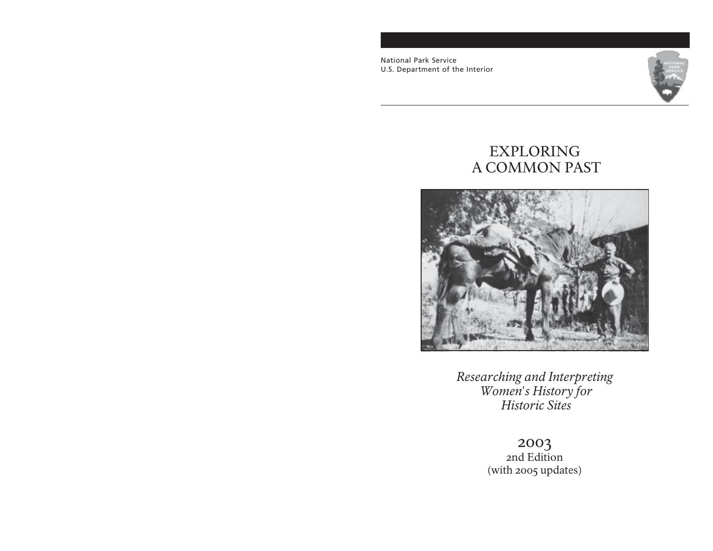National Park Service U.S. Department of the Interior



# EXPLORING A COMMON PAST



*Researching and Interpreting Women's History for Historic Sites*

> 2003 2nd Edition (with 2005 updates)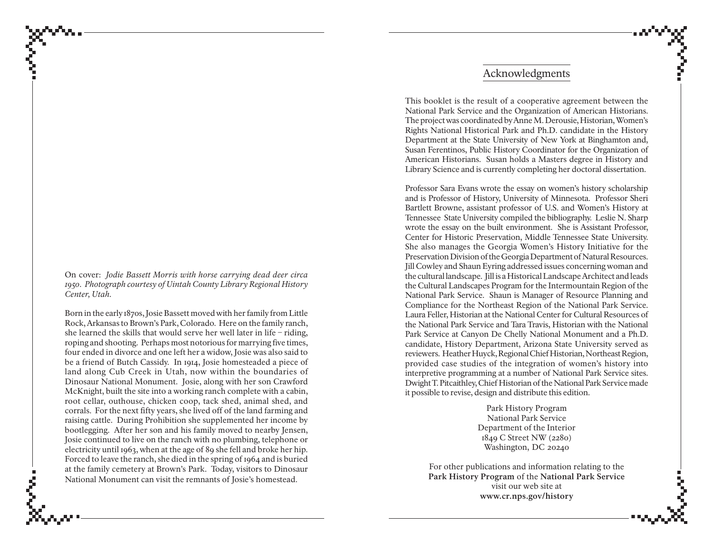On cover: *Jodie Bassett Morris with horse carrying dead deer circa 1950. Photograph courtesy of Uintah County Library Regional History Center, Utah.*

Born in the early 1870s, Josie Bassett moved with her family from Little Rock, Arkansas to Brown's Park, Colorado. Here on the family ranch, she learned the skills that would serve her well later in life – riding, roping and shooting. Perhaps most notorious for marrying five times, four ended in divorce and one left her a widow, Josie was also said to be a friend of Butch Cassidy. In 1914, Josie homesteaded a piece of land along Cub Creek in Utah, now within the boundaries of Dinosaur National Monument. Josie, along with her son Crawford McKnight, built the site into a working ranch complete with a cabin, root cellar, outhouse, chicken coop, tack shed, animal shed, and corrals. For the next fifty years, she lived off of the land farming and raising cattle. During Prohibition she supplemented her income by bootlegging. After her son and his family moved to nearby Jensen, Josie continued to live on the ranch with no plumbing, telephone or electricity until 1963, when at the age of 89 she fell and broke her hip. Forced to leave the ranch, she died in the spring of 1964 and is buried at the family cemetery at Brown's Park. Today, visitors to Dinosaur National Monument can visit the remnants of Josie's homestead.

### Acknowledgments

This booklet is the result of a cooperative agreement between the National Park Service and the Organization of American Historians. The project was coordinated by Anne M. Derousie, Historian, Women's Rights National Historical Park and Ph.D. candidate in the History Department at the State University of New York at Binghamton and, Susan Ferentinos, Public History Coordinator for the Organization of American Historians. Susan holds a Masters degree in History and Library Science and is currently completing her doctoral dissertation.

Professor Sara Evans wrote the essay on women's history scholarship and is Professor of History, University of Minnesota. Professor Sheri Bartlett Browne, assistant professor of U.S. and Women's History at Tennessee State University compiled the bibliography. Leslie N. Sharp wrote the essay on the built environment. She is Assistant Professor, Center for Historic Preservation, Middle Tennessee State University. She also manages the Georgia Women's History Initiative for the Preservation Division of the Georgia Department of Natural Resources. Jill Cowley and Shaun Eyring addressed issues concerning woman and the cultural landscape. Jill is a Historical Landscape Architect and leads the Cultural Landscapes Program for the Intermountain Region of the National Park Service. Shaun is Manager of Resource Planning and Compliance for the Northeast Region of the National Park Service. Laura Feller, Historian at the National Center for Cultural Resources of the National Park Service and Tara Travis, Historian with the National Park Service at Canyon De Chelly National Monument and a Ph.D. candidate, History Department, Arizona State University served as reviewers. Heather Huyck, Regional Chief Historian, Northeast Region, provided case studies of the integration of women's history into interpretive programming at a number of National Park Service sites. Dwight T. Pitcaithley, Chief Historian of the National Park Service made it possible to revise, design and distribute this edition.

> Park History Program National Park Service Department of the Interior 1849 C Street NW (2280) Washington, DC 20240

For other publications and information relating to the **Park History Program** of the **National Park Service** visit our web site at **www.cr.nps.gov/history**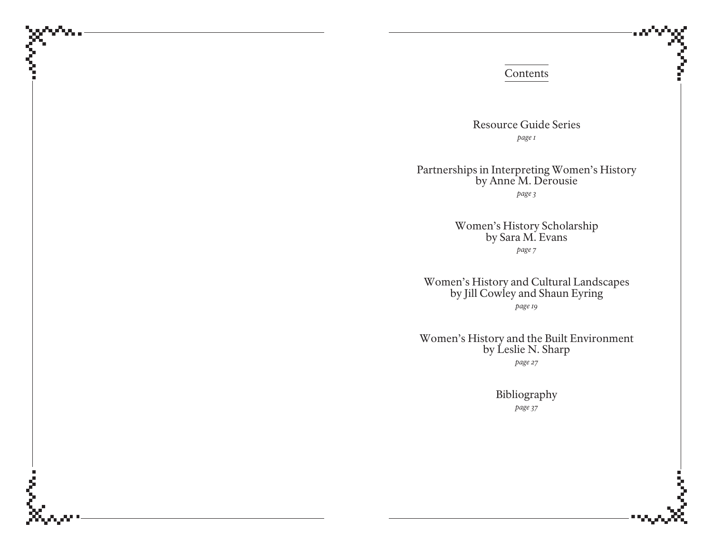#### Contents

Resource Guide Series *page 1*

Partnerships in Interpreting Women's History by Anne M. Derousie *page 3*

> Women's History Scholarship by Sara M. Evans *page 7*

Women's History and Cultural Landscapes by Jill Cowley and Shaun Eyring *page 19*

Women's History and the Built Environment by Leslie N. Sharp *page 27*

> Bibliography *page 37*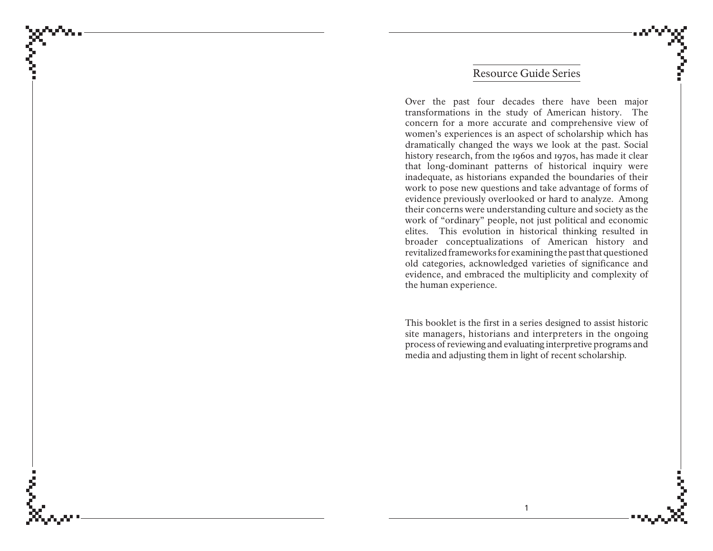### Resource Guide Series

Over the past four decades there have been major transformations in the study of American history. The concern for a more accurate and comprehensive view of women's experiences is an aspect of scholarship which has dramatically changed the ways we look at the past. Social history research, from the 1960s and 1970s, has made it clear that long-dominant patterns of historical inquiry were inadequate, as historians expanded the boundaries of their work to pose new questions and take advantage of forms of evidence previously overlooked or hard to analyze. Among their concerns were understanding culture and society as the work of "ordinary" people, not just political and economic elites. This evolution in historical thinking resulted in broader conceptualizations of American history and revitalized frameworks for examining the past that questioned old categories, acknowledged varieties of significance and evidence, and embraced the multiplicity and complexity of the human experience.

This booklet is the first in a series designed to assist historic site managers, historians and interpreters in the ongoing process of reviewing and evaluating interpretive programs and media and adjusting them in light of recent scholarship.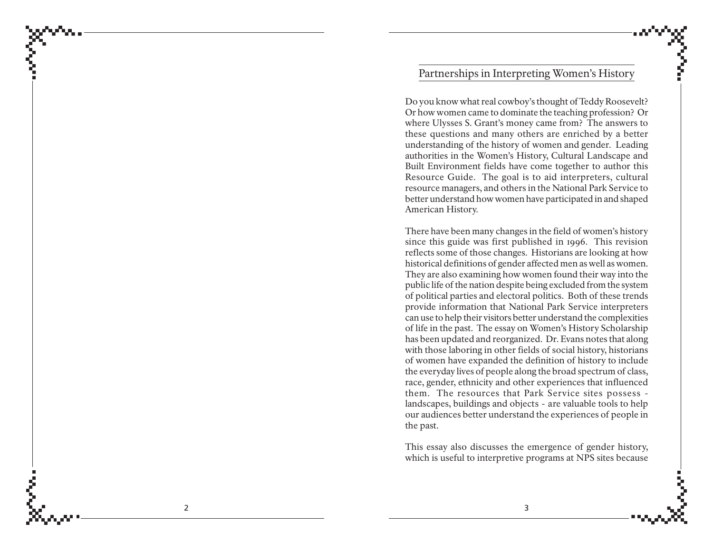## Partnerships in Interpreting Women's History

Do you know what real cowboy's thought of Teddy Roosevelt? Or how women came to dominate the teaching profession? Or where Ulysses S. Grant's money came from? The answers to these questions and many others are enriched by a better understanding of the history of women and gender. Leading authorities in the Women's History, Cultural Landscape and Built Environment fields have come together to author this Resource Guide. The goal is to aid interpreters, cultural resource managers, and others in the National Park Service to better understand how women have participated in and shaped American History.

There have been many changes in the field of women's history since this guide was first published in 1996. This revision reflects some of those changes. Historians are looking at how historical definitions of gender affected men as well as women. They are also examining how women found their way into the public life of the nation despite being excluded from the system of political parties and electoral politics. Both of these trends provide information that National Park Service interpreters can use to help their visitors better understand the complexities of life in the past. The essay on Women's History Scholarship has been updated and reorganized. Dr. Evans notes that along with those laboring in other fields of social history, historians of women have expanded the definition of history to include the everyday lives of people along the broad spectrum of class, race, gender, ethnicity and other experiences that influenced them. The resources that Park Service sites possess landscapes, buildings and objects - are valuable tools to help our audiences better understand the experiences of people in the past.

This essay also discusses the emergence of gender history, which is useful to interpretive programs at NPS sites because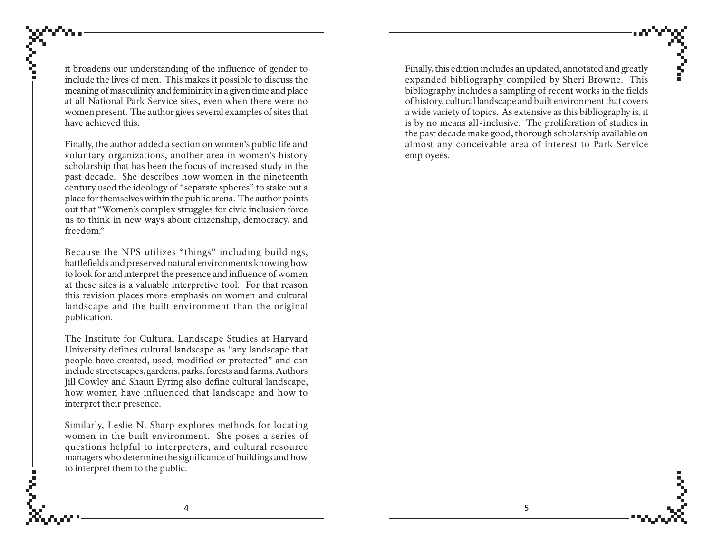it broadens our understanding of the influence of gender to include the lives of men. This makes it possible to discuss the meaning of masculinity and femininity in a given time and place at all National Park Service sites, even when there were no women present. The author gives several examples of sites that have achieved this.

Finally, the author added a section on women's public life and voluntary organizations, another area in women's history scholarship that has been the focus of increased study in the past decade. She describes how women in the nineteenth century used the ideology of "separate spheres" to stake out a place for themselves within the public arena. The author points out that "Women's complex struggles for civic inclusion force us to think in new ways about citizenship, democracy, and freedom."

Because the NPS utilizes "things" including buildings, battlefields and preserved natural environments knowing how to look for and interpret the presence and influence of women at these sites is a valuable interpretive tool. For that reason this revision places more emphasis on women and cultural landscape and the built environment than the original publication.

The Institute for Cultural Landscape Studies at Harvard University defines cultural landscape as "any landscape that people have created, used, modified or protected" and can include streetscapes, gardens, parks, forests and farms. Authors Jill Cowley and Shaun Eyring also define cultural landscape, how women have influenced that landscape and how to interpret their presence.

Similarly, Leslie N. Sharp explores methods for locating women in the built environment. She poses a series of questions helpful to interpreters, and cultural resource managers who determine the significance of buildings and how to interpret them to the public.

Finally, this edition includes an updated, annotated and greatly expanded bibliography compiled by Sheri Browne. This bibliography includes a sampling of recent works in the fields of history, cultural landscape and built environment that covers a wide variety of topics. As extensive as this bibliography is, it is by no means all-inclusive. The proliferation of studies in the past decade make good, thorough scholarship available on almost any conceivable area of interest to Park Service employees.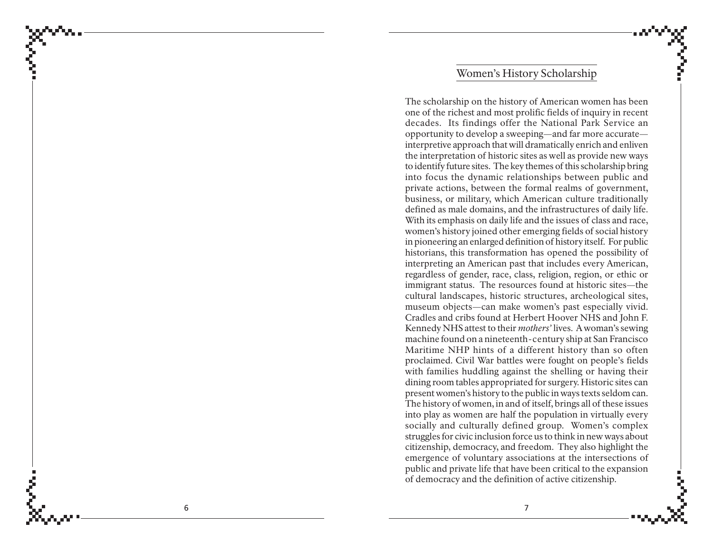### Women's History Scholarship

The scholarship on the history of American women has been one of the richest and most prolific fields of inquiry in recent decades. Its findings offer the National Park Service an opportunity to develop a sweeping—and far more accurate interpretive approach that will dramatically enrich and enliven the interpretation of historic sites as well as provide new ways to identify future sites. The key themes of this scholarship bring into focus the dynamic relationships between public and private actions, between the formal realms of government, business, or military, which American culture traditionally defined as male domains, and the infrastructures of daily life. With its emphasis on daily life and the issues of class and race, women's history joined other emerging fields of social history in pioneering an enlarged definition of history itself. For public historians, this transformation has opened the possibility of interpreting an American past that includes every American, regardless of gender, race, class, religion, region, or ethic or immigrant status. The resources found at historic sites—the cultural landscapes, historic structures, archeological sites, museum objects—can make women's past especially vivid. Cradles and cribs found at Herbert Hoover NHS and John F. Kennedy NHS attest to their *mothers'* lives. A woman's sewing machine found on a nineteenth-century ship at San Francisco Maritime NHP hints of a different history than so often proclaimed. Civil War battles were fought on people's fields with families huddling against the shelling or having their dining room tables appropriated for surgery. Historic sites can present women's history to the public in ways texts seldom can. The history of women, in and of itself, brings all of these issues into play as women are half the population in virtually every socially and culturally defined group. Women's complex struggles for civic inclusion force us to think in new ways about citizenship, democracy, and freedom. They also highlight the emergence of voluntary associations at the intersections of public and private life that have been critical to the expansion of democracy and the definition of active citizenship.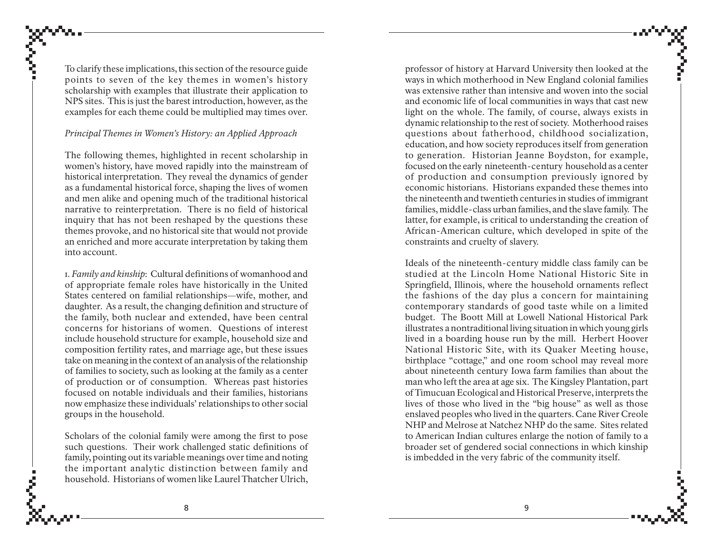To clarify these implications, this section of the resource guide points to seven of the key themes in women's history scholarship with examples that illustrate their application to NPS sites. This is just the barest introduction, however, as the examples for each theme could be multiplied may times over.

#### *Principal Themes in Women's History: an Applied Approach*

The following themes, highlighted in recent scholarship in women's history, have moved rapidly into the mainstream of historical interpretation. They reveal the dynamics of gender as a fundamental historical force, shaping the lives of women and men alike and opening much of the traditional historical narrative to reinterpretation. There is no field of historical inquiry that has not been reshaped by the questions these themes provoke, and no historical site that would not provide an enriched and more accurate interpretation by taking them into account.

1. *Family and kinship*: Cultural definitions of womanhood and of appropriate female roles have historically in the United States centered on familial relationships—wife, mother, and daughter. As a result, the changing definition and structure of the family, both nuclear and extended, have been central concerns for historians of women. Questions of interest include household structure for example, household size and composition fertility rates, and marriage age, but these issues take on meaning in the context of an analysis of the relationship of families to society, such as looking at the family as a center of production or of consumption. Whereas past histories focused on notable individuals and their families, historians now emphasize these individuals' relationships to other social groups in the household.

Scholars of the colonial family were among the first to pose such questions. Their work challenged static definitions of family, pointing out its variable meanings over time and noting the important analytic distinction between family and household. Historians of women like Laurel Thatcher Ulrich,

professor of history at Harvard University then looked at the ways in which motherhood in New England colonial families was extensive rather than intensive and woven into the social and economic life of local communities in ways that cast new light on the whole. The family, of course, always exists in dynamic relationship to the rest of society. Motherhood raises questions about fatherhood, childhood socialization, education, and how society reproduces itself from generation to generation. Historian Jeanne Boydston, for example, focused on the early nineteenth-century household as a center of production and consumption previously ignored by economic historians. Historians expanded these themes into the nineteenth and twentieth centuries in studies of immigrant families, middle-class urban families, and the slave family. The latter, for example, is critical to understanding the creation of African-American culture, which developed in spite of the constraints and cruelty of slavery.

Ideals of the nineteenth-century middle class family can be studied at the Lincoln Home National Historic Site in Springfield, Illinois, where the household ornaments reflect the fashions of the day plus a concern for maintaining contemporary standards of good taste while on a limited budget. The Boott Mill at Lowell National Historical Park illustrates a nontraditional living situation in which young girls lived in a boarding house run by the mill. Herbert Hoover National Historic Site, with its Quaker Meeting house, birthplace "cottage," and one room school may reveal more about nineteenth century Iowa farm families than about the man who left the area at age six. The Kingsley Plantation, part of Timucuan Ecological and Historical Preserve, interprets the lives of those who lived in the "big house" as well as those enslaved peoples who lived in the quarters. Cane River Creole NHP and Melrose at Natchez NHP do the same. Sites related to American Indian cultures enlarge the notion of family to a broader set of gendered social connections in which kinship is imbedded in the very fabric of the community itself.

ĉ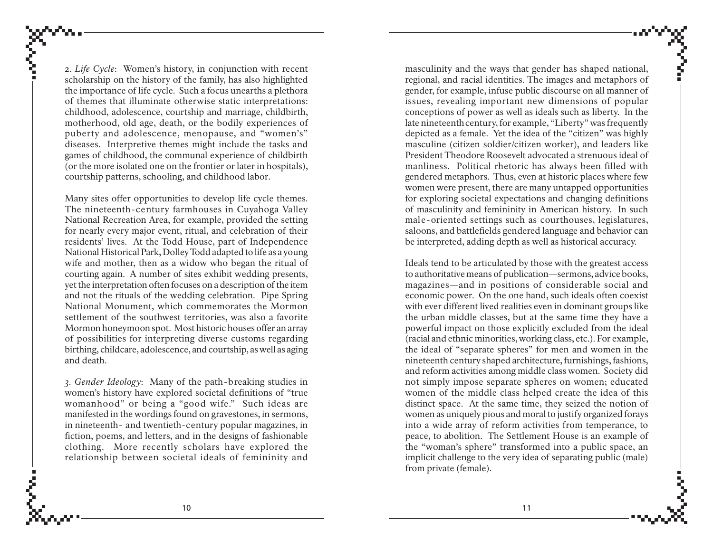2. *Life Cycle*: Women's history, in conjunction with recent scholarship on the history of the family, has also highlighted the importance of life cycle. Such a focus unearths a plethora of themes that illuminate otherwise static interpretations: childhood, adolescence, courtship and marriage, childbirth, motherhood, old age, death, or the bodily experiences of puberty and adolescence, menopause, and "women's" diseases. Interpretive themes might include the tasks and games of childhood, the communal experience of childbirth (or the more isolated one on the frontier or later in hospitals), courtship patterns, schooling, and childhood labor.

Many sites offer opportunities to develop life cycle themes. The nineteenth-century farmhouses in Cuyahoga Valley National Recreation Area, for example, provided the setting for nearly every major event, ritual, and celebration of their residents' lives. At the Todd House, part of Independence National Historical Park, Dolley Todd adapted to life as a young wife and mother, then as a widow who began the ritual of courting again. A number of sites exhibit wedding presents, yet the interpretation often focuses on a description of the item and not the rituals of the wedding celebration. Pipe Spring National Monument, which commemorates the Mormon settlement of the southwest territories, was also a favorite Mormon honeymoon spot. Most historic houses offer an array of possibilities for interpreting diverse customs regarding birthing, childcare, adolescence, and courtship, as well as aging and death.

*3. Gender Ideology*: Many of the path-breaking studies in women's history have explored societal definitions of "true womanhood" or being a "good wife." Such ideas are manifested in the wordings found on gravestones, in sermons, in nineteenth- and twentieth-century popular magazines, in fiction, poems, and letters, and in the designs of fashionable clothing. More recently scholars have explored the relationship between societal ideals of femininity and

masculinity and the ways that gender has shaped national, regional, and racial identities. The images and metaphors of gender, for example, infuse public discourse on all manner of issues, revealing important new dimensions of popular conceptions of power as well as ideals such as liberty. In the late nineteenth century, for example, "Liberty" was frequently depicted as a female. Yet the idea of the "citizen" was highly masculine (citizen soldier/citizen worker), and leaders like President Theodore Roosevelt advocated a strenuous ideal of manliness. Political rhetoric has always been filled with gendered metaphors. Thus, even at historic places where few women were present, there are many untapped opportunities for exploring societal expectations and changing definitions of masculinity and femininity in American history. In such male-oriented settings such as courthouses, legislatures, saloons, and battlefields gendered language and behavior can be interpreted, adding depth as well as historical accuracy.

Ideals tend to be articulated by those with the greatest access to authoritative means of publication—sermons, advice books, magazines—and in positions of considerable social and economic power. On the one hand, such ideals often coexist with ever different lived realities even in dominant groups like the urban middle classes, but at the same time they have a powerful impact on those explicitly excluded from the ideal (racial and ethnic minorities, working class, etc.). For example, the ideal of "separate spheres" for men and women in the nineteenth century shaped architecture, furnishings, fashions, and reform activities among middle class women. Society did not simply impose separate spheres on women; educated women of the middle class helped create the idea of this distinct space. At the same time, they seized the notion of women as uniquely pious and moral to justify organized forays into a wide array of reform activities from temperance, to peace, to abolition. The Settlement House is an example of the "woman's sphere" transformed into a public space, an implicit challenge to the very idea of separating public (male) from private (female).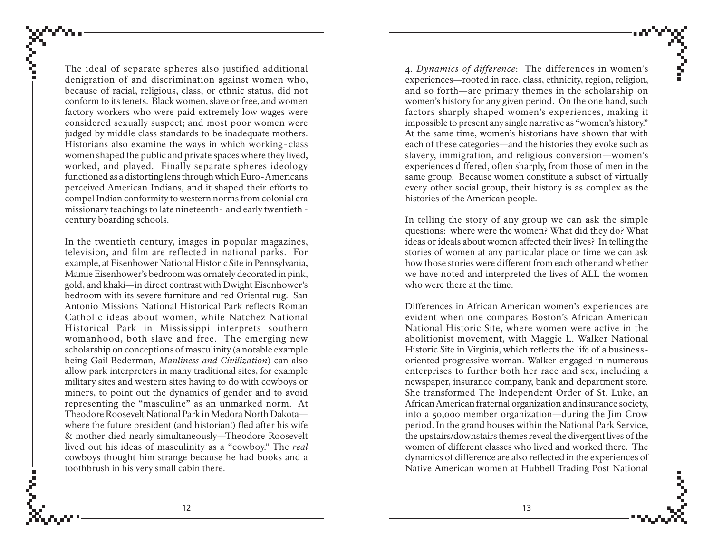The ideal of separate spheres also justified additional denigration of and discrimination against women who, because of racial, religious, class, or ethnic status, did not conform to its tenets. Black women, slave or free, and women factory workers who were paid extremely low wages were considered sexually suspect; and most poor women were judged by middle class standards to be inadequate mothers. Historians also examine the ways in which working - class women shaped the public and private spaces where they lived, worked, and played. Finally separate spheres ideology functioned as a distorting lens through which Euro-Americans perceived American Indians, and it shaped their efforts to compel Indian conformity to western norms from colonial era missionary teachings to late nineteenth- and early twentieth century boarding schools.

In the twentieth century, images in popular magazines, television, and film are reflected in national parks. For example, at Eisenhower National Historic Site in Pennsylvania, Mamie Eisenhower's bedroom was ornately decorated in pink, gold, and khaki—in direct contrast with Dwight Eisenhower's bedroom with its severe furniture and red Oriental rug. San Antonio Missions National Historical Park reflects Roman Catholic ideas about women, while Natchez National Historical Park in Mississippi interprets southern womanhood, both slave and free. The emerging new scholarship on conceptions of masculinity (a notable example being Gail Bederman, *Manliness and Civilization*) can also allow park interpreters in many traditional sites, for example military sites and western sites having to do with cowboys or miners, to point out the dynamics of gender and to avoid representing the "masculine" as an unmarked norm. At Theodore Roosevelt National Park in Medora North Dakota where the future president (and historian!) fled after his wife & mother died nearly simultaneously—Theodore Roosevelt lived out his ideas of masculinity as a "cowboy." The *real* cowboys thought him strange because he had books and a toothbrush in his very small cabin there.

4. *Dynamics of difference*: The differences in women's experiences—rooted in race, class, ethnicity, region, religion, and so forth—are primary themes in the scholarship on women's history for any given period. On the one hand, such factors sharply shaped women's experiences, making it impossible to present any single narrative as "women's history." At the same time, women's historians have shown that with each of these categories—and the histories they evoke such as slavery, immigration, and religious conversion—women's experiences differed, often sharply, from those of men in the same group. Because women constitute a subset of virtually every other social group, their history is as complex as the histories of the American people.

In telling the story of any group we can ask the simple questions: where were the women? What did they do? What ideas or ideals about women affected their lives? In telling the stories of women at any particular place or time we can ask how those stories were different from each other and whether we have noted and interpreted the lives of ALL the women who were there at the time.

Differences in African American women's experiences are evident when one compares Boston's African American National Historic Site, where women were active in the abolitionist movement, with Maggie L. Walker National Historic Site in Virginia, which reflects the life of a businessoriented progressive woman. Walker engaged in numerous enterprises to further both her race and sex, including a newspaper, insurance company, bank and department store. She transformed The Independent Order of St. Luke, an African American fraternal organization and insurance society, into a 50,000 member organization—during the Jim Crow period. In the grand houses within the National Park Service, the upstairs/downstairs themes reveal the divergent lives of the women of different classes who lived and worked there. The dynamics of difference are also reflected in the experiences of Native American women at Hubbell Trading Post National

ĉ

12  $\hspace{1.5cm}$  13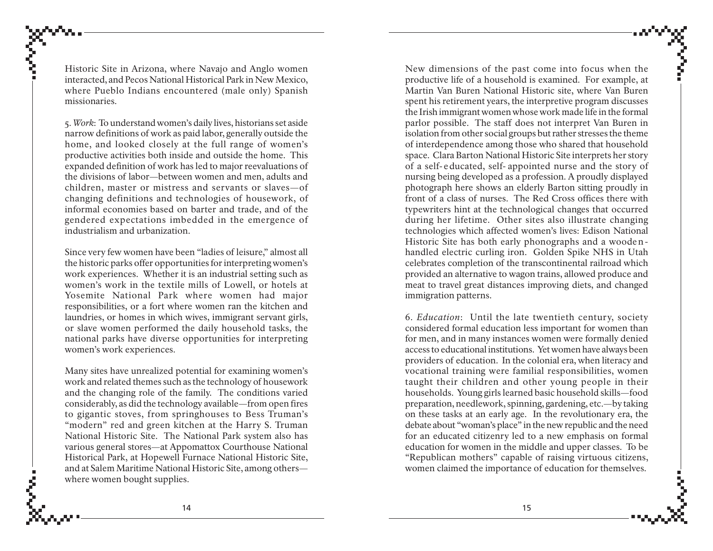Historic Site in Arizona, where Navajo and Anglo women interacted, and Pecos National Historical Park in New Mexico, where Pueblo Indians encountered (male only) Spanish missionaries.

5. *Work*: To understand women's daily lives, historians set aside narrow definitions of work as paid labor, generally outside the home, and looked closely at the full range of women's productive activities both inside and outside the home. This expanded definition of work has led to major reevaluations of the divisions of labor—between women and men, adults and children, master or mistress and servants or slaves—of changing definitions and technologies of housework, of informal economies based on barter and trade, and of the gendered expectations imbedded in the emergence of industrialism and urbanization.

Since very few women have been "ladies of leisure," almost all the historic parks offer opportunities for interpreting women's work experiences. Whether it is an industrial setting such as women's work in the textile mills of Lowell, or hotels at Yosemite National Park where women had major responsibilities, or a fort where women ran the kitchen and laundries, or homes in which wives, immigrant servant girls, or slave women performed the daily household tasks, the national parks have diverse opportunities for interpreting women's work experiences.

Many sites have unrealized potential for examining women's work and related themes such as the technology of housework and the changing role of the family. The conditions varied considerably, as did the technology available—from open fires to gigantic stoves, from springhouses to Bess Truman's "modern" red and green kitchen at the Harry S. Truman National Historic Site. The National Park system also has various general stores—at Appomattox Courthouse National Historical Park, at Hopewell Furnace National Historic Site, and at Salem Maritime National Historic Site, among others where women bought supplies.

New dimensions of the past come into focus when the productive life of a household is examined. For example, at Martin Van Buren National Historic site, where Van Buren spent his retirement years, the interpretive program discusses the Irish immigrant women whose work made life in the formal parlor possible. The staff does not interpret Van Buren in isolation from other social groups but rather stresses the theme of interdependence among those who shared that household space. Clara Barton National Historic Site interprets her story of a self- <sup>e</sup> ducated, self- appointed nurse and the story of nursing being developed as a profession. A proudly displayed photograph here shows an elderly Barton sitting proudly in front of a class of nurses. The Red Cross offices there with typewriters hint at the technological changes that occurred during her lifetime. Other sites also illustrate changing technologies which affected women's lives: Edison National Historic Site has both early phonographs and a woodenhandled electric curling iron. Golden Spike NHS in Utah celebrates completion of the transcontinental railroad which provided an alternative to wagon trains, allowed produce and meat to travel great distances improving diets, and changed immigration patterns.

6. *Education*: Until the late twentieth century, society considered formal education less important for women than for men, and in many instances women were formally denied access to educational institutions. Yet women have always been providers of education. In the colonial era, when literacy and vocational training were familial responsibilities, women taught their children and other young people in their households. Young girls learned basic household skills—food preparation, needlework, spinning, gardening, etc.—by taking on these tasks at an early age. In the revolutionary era, the debate about "woman's place" in the new republic and the need for an educated citizenry led to a new emphasis on formal education for women in the middle and upper classes. To be "Republican mothers" capable of raising virtuous citizens, women claimed the importance of education for themselves.

ĉ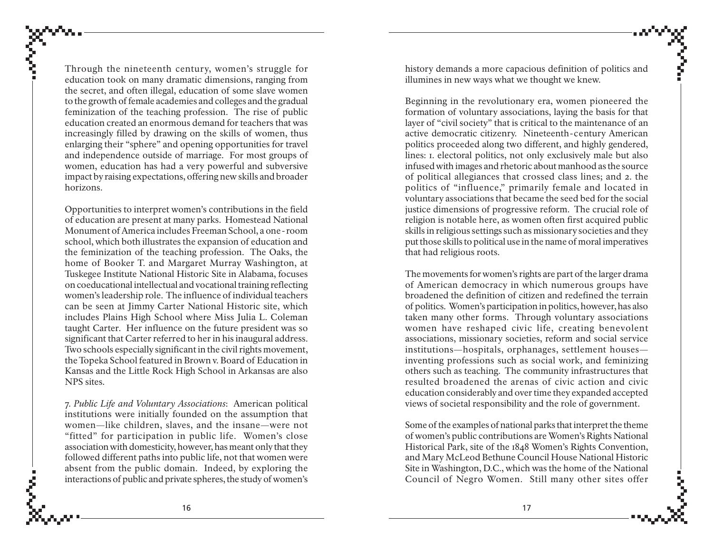Through the nineteenth century, women's struggle for education took on many dramatic dimensions, ranging from the secret, and often illegal, education of some slave women to the growth of female academies and colleges and the gradual feminization of the teaching profession. The rise of public education created an enormous demand for teachers that was increasingly filled by drawing on the skills of women, thus enlarging their "sphere" and opening opportunities for travel and independence outside of marriage. For most groups of women, education has had a very powerful and subversive impact by raising expectations, offering new skills and broader horizons.

Opportunities to interpret women's contributions in the field of education are present at many parks. Homestead National Monument of America includes Freeman School, a one - room school, which both illustrates the expansion of education and the feminization of the teaching profession. The Oaks, the home of Booker T. and Margaret Murray Washington, at Tuskegee Institute National Historic Site in Alabama, focuses on coeducational intellectual and vocational training reflecting women's leadership role. The influence of individual teachers can be seen at Jimmy Carter National Historic site, which includes Plains High School where Miss Julia L. Coleman taught Carter. Her influence on the future president was so significant that Carter referred to her in his inaugural address. Two schools especially significant in the civil rights movement, the Topeka School featured in Brown v. Board of Education in Kansas and the Little Rock High School in Arkansas are also NPS sites.

7. *Public Life and Voluntary Associations*: American political institutions were initially founded on the assumption that women—like children, slaves, and the insane—were not "fitted" for participation in public life. Women's close association with domesticity, however, has meant only that they followed different paths into public life, not that women were absent from the public domain. Indeed, by exploring the interactions of public and private spheres, the study of women's history demands a more capacious definition of politics and illumines in new ways what we thought we knew.

Beginning in the revolutionary era, women pioneered the formation of voluntary associations, laying the basis for that layer of "civil society" that is critical to the maintenance of an active democratic citizenry. Nineteenth-century American politics proceeded along two different, and highly gendered, lines: 1. electoral politics, not only exclusively male but also infused with images and rhetoric about manhood as the source of political allegiances that crossed class lines; and 2. the politics of "influence," primarily female and located in voluntary associations that became the seed bed for the social justice dimensions of progressive reform. The crucial role of religion is notable here, as women often first acquired public skills in religious settings such as missionary societies and they put those skills to political use in the name of moral imperatives that had religious roots.

The movements for women's rights are part of the larger drama of American democracy in which numerous groups have broadened the definition of citizen and redefined the terrain of politics. Women's participation in politics, however, has also taken many other forms. Through voluntary associations women have reshaped civic life, creating benevolent associations, missionary societies, reform and social service institutions—hospitals, orphanages, settlement houses inventing professions such as social work, and feminizing others such as teaching. The community infrastructures that resulted broadened the arenas of civic action and civic education considerably and over time they expanded accepted views of societal responsibility and the role of government.

Some of the examples of national parks that interpret the theme of women's public contributions are Women's Rights National Historical Park, site of the 1848 Women's Rights Convention, and Mary McLeod Bethune Council House National Historic Site in Washington, D.C., which was the home of the National Council of Negro Women. Still many other sites offer

ĉ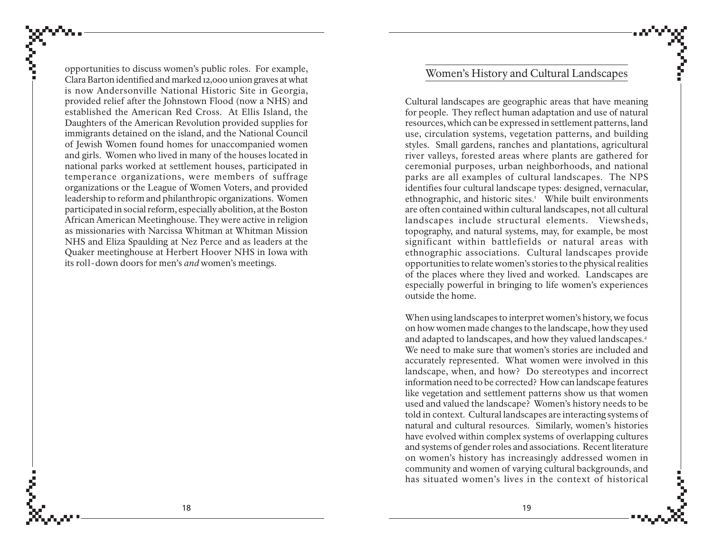opportunities to discuss women's public roles. For example, Clara Barton identified and marked 12,000 union graves at what is now Andersonville National Historic Site in Georgia, provided relief after the Johnstown Flood (now a NHS) and established the American Red Cross. At Ellis Island, the Daughters of the American Revolution provided supplies for immigrants detained on the island, and the National Council of Jewish Women found homes for unaccompanied women and girls. Women who lived in many of the houses located in national parks worked at settlement houses, participated in temperance organizations, were members of suffrage organizations or the League of Women Voters, and provided leadership to reform and philanthropic organizations. Women participated in social reform, especially abolition, at the Boston African American Meetinghouse. They were active in religion as missionaries with Narcissa Whitman at Whitman Mission NHS and Eliza Spaulding at Nez Perce and as leaders at the Quaker meetinghouse at Herbert Hoover NHS in Iowa with its roll-down doors for men's *and* women's meetings.

### Women's History and Cultural Landscapes

Cultural landscapes are geographic areas that have meaning for people. They reflect human adaptation and use of natural resources, which can be expressed in settlement patterns, land use, circulation systems, vegetation patterns, and building styles. Small gardens, ranches and plantations, agricultural river valleys, forested areas where plants are gathered for ceremonial purposes, urban neighborhoods, and national parks are all examples of cultural landscapes. The NPS identifies four cultural landscape types: designed, vernacular, ethnographic, and historic sites.<sup>1</sup> While built environments are often contained within cultural landscapes, not all cultural landscapes include structural elements. Viewsheds, topography, and natural systems, may, for example, be most significant within battlefields or natural areas with ethnographic associations. Cultural landscapes provide opportunities to relate women's stories to the physical realities of the places where they lived and worked. Landscapes are especially powerful in bringing to life women's experiences outside the home.

When using landscapes to interpret women's history, we focus on how women made changes to the landscape, how they used and adapted to landscapes, and how they valued landscapes.<sup>2</sup> We need to make sure that women's stories are included and accurately represented. What women were involved in this landscape, when, and how? Do stereotypes and incorrect information need to be corrected? How can landscape features like vegetation and settlement patterns show us that women used and valued the landscape? Women's history needs to be told in context. Cultural landscapes are interacting systems of natural and cultural resources. Similarly, women's histories have evolved within complex systems of overlapping cultures and systems of gender roles and associations. Recent literature on women's history has increasingly addressed women in community and women of varying cultural backgrounds, and has situated women's lives in the context of historical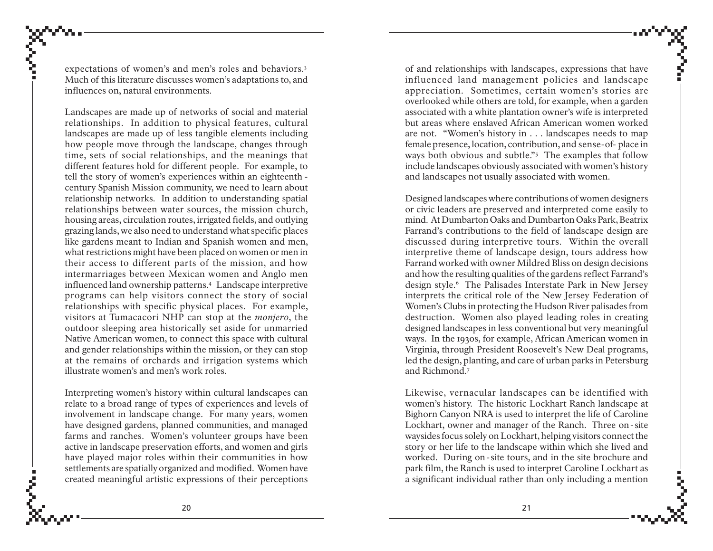expectations of women's and men's roles and behaviors.3 Much of this literature discusses women's adaptations to, and influences on, natural environments.

Landscapes are made up of networks of social and material relationships. In addition to physical features, cultural landscapes are made up of less tangible elements including how people move through the landscape, changes through time, sets of social relationships, and the meanings that different features hold for different people. For example, to tell the story of women's experiences within an eighteenth century Spanish Mission community, we need to learn about relationship networks. In addition to understanding spatial relationships between water sources, the mission church, housing areas, circulation routes, irrigated fields, and outlying grazing lands, we also need to understand what specific places like gardens meant to Indian and Spanish women and men, what restrictions might have been placed on women or men in their access to different parts of the mission, and how intermarriages between Mexican women and Anglo men influenced land ownership patterns.4 Landscape interpretive programs can help visitors connect the story of social relationships with specific physical places. For example, visitors at Tumacacori NHP can stop at the *monjero*, the outdoor sleeping area historically set aside for unmarried Native American women, to connect this space with cultural and gender relationships within the mission, or they can stop at the remains of orchards and irrigation systems which illustrate women's and men's work roles.

Interpreting women's history within cultural landscapes can relate to a broad range of types of experiences and levels of involvement in landscape change. For many years, women have designed gardens, planned communities, and managed farms and ranches. Women's volunteer groups have been active in landscape preservation efforts, and women and girls have played major roles within their communities in how settlements are spatially organized and modified. Women have created meaningful artistic expressions of their perceptions

of and relationships with landscapes, expressions that have influenced land management policies and landscape appreciation. Sometimes, certain women's stories are overlooked while others are told, for example, when a garden associated with a white plantation owner's wife is interpreted but areas where enslaved African American women worked are not. "Women's history in . . . landscapes needs to map female presence, location, contribution, and sense-of- place in ways both obvious and subtle."5 The examples that follow include landscapes obviously associated with women's history and landscapes not usually associated with women.

Designed landscapes where contributions of women designers or civic leaders are preserved and interpreted come easily to mind. At Dumbarton Oaks and Dumbarton Oaks Park, Beatrix Farrand's contributions to the field of landscape design are discussed during interpretive tours. Within the overall interpretive theme of landscape design, tours address how Farrand worked with owner Mildred Bliss on design decisions and how the resulting qualities of the gardens reflect Farrand's design style.6 The Palisades Interstate Park in New Jersey interprets the critical role of the New Jersey Federation of Women's Clubs in protecting the Hudson River palisades from destruction. Women also played leading roles in creating designed landscapes in less conventional but very meaningful ways. In the 1930s, for example, African American women in Virginia, through President Roosevelt's New Deal programs, led the design, planting, and care of urban parks in Petersburg and Richmond.7

Likewise, vernacular landscapes can be identified with women's history. The historic Lockhart Ranch landscape at Bighorn Canyon NRA is used to interpret the life of Caroline Lockhart, owner and manager of the Ranch. Three on - site waysides focus solely on Lockhart, helping visitors connect the story or her life to the landscape within which she lived and worked. During on - site tours, and in the site brochure and park film, the Ranch is used to interpret Caroline Lockhart as a significant individual rather than only including a mention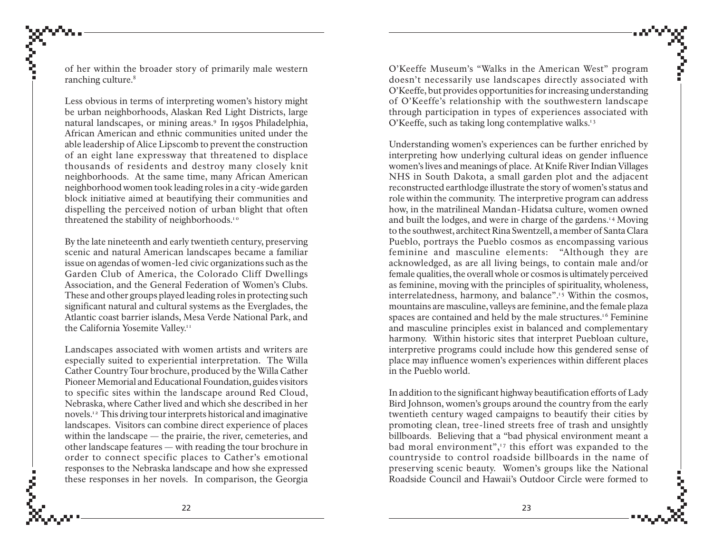of her within the broader story of primarily male western ranching culture.<sup>8</sup>

Less obvious in terms of interpreting women's history might be urban neighborhoods, Alaskan Red Light Districts, large natural landscapes, or mining areas.9 In 1950s Philadelphia, African American and ethnic communities united under the able leadership of Alice Lipscomb to prevent the construction of an eight lane expressway that threatened to displace thousands of residents and destroy many closely knit neighborhoods. At the same time, many African American neighborhood women took leading roles in a city-wide garden block initiative aimed at beautifying their communities and dispelling the perceived notion of urban blight that often threatened the stability of neighborhoods.<sup>10</sup>

By the late nineteenth and early twentieth century, preserving scenic and natural American landscapes became a familiar issue on agendas of women-led civic organizations such as the Garden Club of America, the Colorado Cliff Dwellings Association, and the General Federation of Women's Clubs. These and other groups played leading roles in protecting such significant natural and cultural systems as the Everglades, the Atlantic coast barrier islands, Mesa Verde National Park, and the California Yosemite Valley.<sup>11</sup>

Landscapes associated with women artists and writers are especially suited to experiential interpretation. The Willa Cather Country Tour brochure, produced by the Willa Cather Pioneer Memorial and Educational Foundation, guides visitors to specific sites within the landscape around Red Cloud, Nebraska, where Cather lived and which she described in her novels.<sup>12</sup> This driving tour interprets historical and imaginative landscapes. Visitors can combine direct experience of places within the landscape — the prairie, the river, cemeteries, and other landscape features — with reading the tour brochure in order to connect specific places to Cather's emotional responses to the Nebraska landscape and how she expressed these responses in her novels. In comparison, the Georgia

O'Keeffe Museum's "Walks in the American West" program doesn't necessarily use landscapes directly associated with O'Keeffe, but provides opportunities for increasing understanding of O'Keeffe's relationship with the southwestern landscape through participation in types of experiences associated with O'Keeffe, such as taking long contemplative walks.<sup>13</sup>

Understanding women's experiences can be further enriched by interpreting how underlying cultural ideas on gender influence women's lives and meanings of place. At Knife River Indian Villages NHS in South Dakota, a small garden plot and the adjacent reconstructed earthlodge illustrate the story of women's status and role within the community. The interpretive program can address how, in the matrilineal Mandan-Hidatsa culture, women owned and built the lodges, and were in charge of the gardens.<sup>14</sup> Moving to the southwest, architect Rina Swentzell, a member of Santa Clara Pueblo, portrays the Pueblo cosmos as encompassing various feminine and masculine elements: "Although they are acknowledged, as are all living beings, to contain male and/or female qualities, the overall whole or cosmos is ultimately perceived as feminine, moving with the principles of spirituality, wholeness, interrelatedness, harmony, and balance".<sup>15</sup> Within the cosmos, mountains are masculine, valleys are feminine, and the female plaza spaces are contained and held by the male structures.<sup>16</sup> Feminine and masculine principles exist in balanced and complementary harmony. Within historic sites that interpret Puebloan culture, interpretive programs could include how this gendered sense of place may influence women's experiences within different places in the Pueblo world.

In addition to the significant highway beautification efforts of Lady Bird Johnson, women's groups around the country from the early twentieth century waged campaigns to beautify their cities by promoting clean, tree-lined streets free of trash and unsightly billboards. Believing that a "bad physical environment meant a bad moral environment", $\frac{1}{2}$  this effort was expanded to the countryside to control roadside billboards in the name of preserving scenic beauty. Women's groups like the National Roadside Council and Hawaii's Outdoor Circle were formed to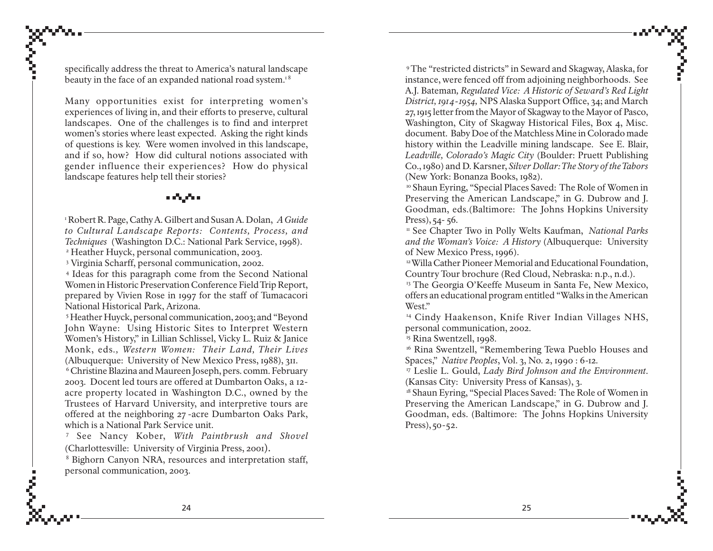specifically address the threat to America's natural landscape beauty in the face of an expanded national road system.<sup>18</sup>

Many opportunities exist for interpreting women's experiences of living in, and their efforts to preserve, cultural landscapes. One of the challenges is to find and interpret women's stories where least expected. Asking the right kinds of questions is key. Were women involved in this landscape, and if so, how? How did cultural notions associated with gender influence their experiences? How do physical landscape features help tell their stories?

#### a dhufa a

1 Robert R. Page, Cathy A. Gilbert and Susan A. Dolan, *A Guide to Cultural Landscape Reports: Contents, Process, and Techniques* (Washington D.C.: National Park Service, 1998).

2 Heather Huyck, personal communication, 2003.

3 Virginia Scharff, personal communication, 2002.

4 Ideas for this paragraph come from the Second National Women in Historic Preservation Conference Field Trip Report, prepared by Vivien Rose in 1997 for the staff of Tumacacori National Historical Park, Arizona.

5 Heather Huyck, personal communication, 2003; and "Beyond John Wayne: Using Historic Sites to Interpret Western Women's History," in Lillian Schlissel, Vicky L. Ruiz & Janice Monk, eds*., Western Women: Their Land, Their Lives* (Albuquerque: University of New Mexico Press, 1988), 311.

6 Christine Blazina and Maureen Joseph, pers. comm. February 2003. Docent led tours are offered at Dumbarton Oaks, a 12 acre property located in Washington D.C., owned by the Trustees of Harvard University, and interpretive tours are offered at the neighboring 27 -acre Dumbarton Oaks Park, which is a National Park Service unit.

7 See Nancy Kober, *With Paintbrush and Shovel* (Charlottesville: University of Virginia Press, 2001).

8 Bighorn Canyon NRA, resources and interpretation staff, personal communication, 2003.

9 The "restricted districts" in Seward and Skagway, Alaska, for instance, were fenced off from adjoining neighborhoods. See A.J. Bateman*, Regulated Vice: A Historic of Seward's Red Light District, 1914-1954,* NPS Alaska Support Office, 34; and March 27, 1915 letter from the Mayor of Skagway to the Mayor of Pasco, Washington, City of Skagway Historical Files, Box 4, Misc. document. Baby Doe of the Matchless Mine in Colorado made history within the Leadville mining landscape. See E. Blair, *Leadville, Colorado's Magic City* (Boulder: Pruett Publishing Co., 1980) and D. Karsner, *Silver Dollar: The Story of the Tabors* (New York: Bonanza Books, 1982).

<sup>10</sup> Shaun Eyring, "Special Places Saved: The Role of Women in Preserving the American Landscape," in G. Dubrow and J. Goodman, eds.(Baltimore: The Johns Hopkins University Press), 54- 56.

11 See Chapter Two in Polly Welts Kaufman, *National Parks and the Woman's Voice: A History* (Albuquerque: University of New Mexico Press, 1996).

<sup>12</sup> Willa Cather Pioneer Memorial and Educational Foundation, Country Tour brochure (Red Cloud, Nebraska: n.p., n.d.).

<sup>13</sup> The Georgia O'Keeffe Museum in Santa Fe, New Mexico, offers an educational program entitled "Walks in the American West."

<sup>14</sup> Cindy Haakenson, Knife River Indian Villages NHS, personal communication, 2002.

<sup>15</sup> Rina Swentzell, 1998.

16 Rina Swentzell, "Remembering Tewa Pueblo Houses and Spaces," *Native Peoples*, Vol. 3, No. 2, 1990 : 6-12.

17 Leslie L. Gould, *Lady Bird Johnson and the Environment*. (Kansas City: University Press of Kansas), 3.

<sup>18</sup> Shaun Eyring, "Special Places Saved: The Role of Women in Preserving the American Landscape," in G. Dubrow and J. Goodman, eds. (Baltimore: The Johns Hopkins University Press), 50-52.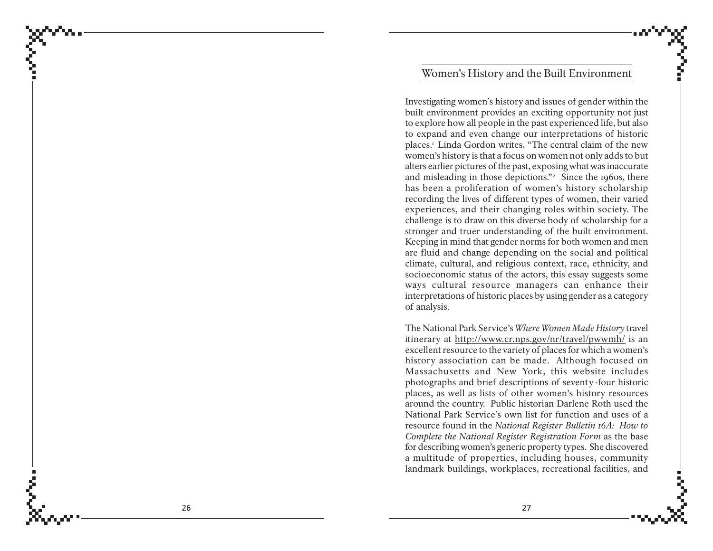### Women's History and the Built Environment

Investigating women's history and issues of gender within the built environment provides an exciting opportunity not just to explore how all people in the past experienced life, but also to expand and even change our interpretations of historic places.1 Linda Gordon writes, "The central claim of the new women's history is that a focus on women not only adds to but alters earlier pictures of the past, exposing what was inaccurate and misleading in those depictions."<sup>2</sup> Since the 1960s, there has been a proliferation of women's history scholarship recording the lives of different types of women, their varied experiences, and their changing roles within society. The challenge is to draw on this diverse body of scholarship for a stronger and truer understanding of the built environment. Keeping in mind that gender norms for both women and men are fluid and change depending on the social and political climate, cultural, and religious context, race, ethnicity, and socioeconomic status of the actors, this essay suggests some ways cultural resource managers can enhance their interpretations of historic places by using gender as a category of analysis.

The National Park Service's *Where Women Made History* travel itinerary at <u>http://www.cr.nps.gov/nr/travel/pwwmh/</u> is an excellent resource to the variety of places for which a women's history association can be made. Although focused on Massachusetts and New York, this website includes photographs and brief descriptions of seventy-four historic places, as well as lists of other women's history resources around the country. Public historian Darlene Roth used the National Park Service's own list for function and uses of a resource found in the *National Register Bulletin 16A: How to Complete the National Register Registration Form* as the base for describing women's generic property types. She discovered a multitude of properties, including houses, community landmark buildings, workplaces, recreational facilities, and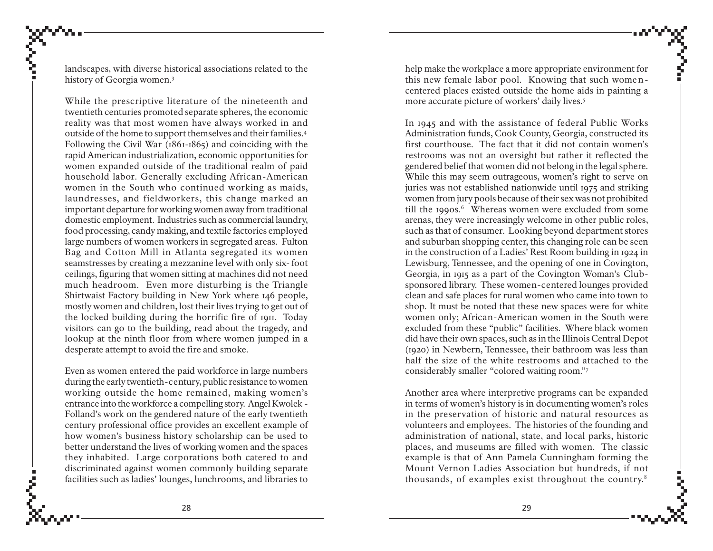landscapes, with diverse historical associations related to the history of Georgia women.3

While the prescriptive literature of the nineteenth and twentieth centuries promoted separate spheres, the economic reality was that most women have always worked in and outside of the home to support themselves and their families.4 Following the Civil War (1861-1865) and coinciding with the rapid American industrialization, economic opportunities for women expanded outside of the traditional realm of paid household labor. Generally excluding African-American women in the South who continued working as maids, laundresses, and fieldworkers, this change marked an important departure for working women away from traditional domestic employment. Industries such as commercial laundry, food processing, candy making, and textile factories employed large numbers of women workers in segregated areas. Fulton Bag and Cotton Mill in Atlanta segregated its women seamstresses by creating a mezzanine level with only six- foot ceilings, figuring that women sitting at machines did not need much headroom. Even more disturbing is the Triangle Shirtwaist Factory building in New York where 146 people, mostly women and children, lost their lives trying to get out of the locked building during the horrific fire of 1911. Today visitors can go to the building, read about the tragedy, and lookup at the ninth floor from where women jumped in a desperate attempt to avoid the fire and smoke.

Even as women entered the paid workforce in large numbers during the early twentieth-century, public resistance to women working outside the home remained, making women's entrance into the workforce a compelling story. Angel Kwolek - Folland's work on the gendered nature of the early twentieth century professional office provides an excellent example of how women's business history scholarship can be used to better understand the lives of working women and the spaces they inhabited. Large corporations both catered to and discriminated against women commonly building separate facilities such as ladies' lounges, lunchrooms, and libraries to

help make the workplace a more appropriate environment for this new female labor pool. Knowing that such womencentered places existed outside the home aids in painting a more accurate picture of workers' daily lives.5

In 1945 and with the assistance of federal Public Works Administration funds, Cook County, Georgia, constructed its first courthouse. The fact that it did not contain women's restrooms was not an oversight but rather it reflected the gendered belief that women did not belong in the legal sphere. While this may seem outrageous, women's right to serve on juries was not established nationwide until 1975 and striking women from jury pools because of their sex was not prohibited till the 1990s.<sup>6</sup> Whereas women were excluded from some arenas, they were increasingly welcome in other public roles, such as that of consumer. Looking beyond department stores and suburban shopping center, this changing role can be seen in the construction of a Ladies' Rest Room building in 1924 in Lewisburg, Tennessee, and the opening of one in Covington, Georgia, in 1915 as a part of the Covington Woman's Clubsponsored library. These women-centered lounges provided clean and safe places for rural women who came into town to shop. It must be noted that these new spaces were for white women only; African-American women in the South were excluded from these "public" facilities. Where black women did have their own spaces, such as in the Illinois Central Depot (1920) in Newbern, Tennessee, their bathroom was less than half the size of the white restrooms and attached to the considerably smaller "colored waiting room."7

Another area where interpretive programs can be expanded in terms of women's history is in documenting women's roles in the preservation of historic and natural resources as volunteers and employees. The histories of the founding and administration of national, state, and local parks, historic places, and museums are filled with women. The classic example is that of Ann Pamela Cunningham forming the Mount Vernon Ladies Association but hundreds, if not thousands, of examples exist throughout the country.8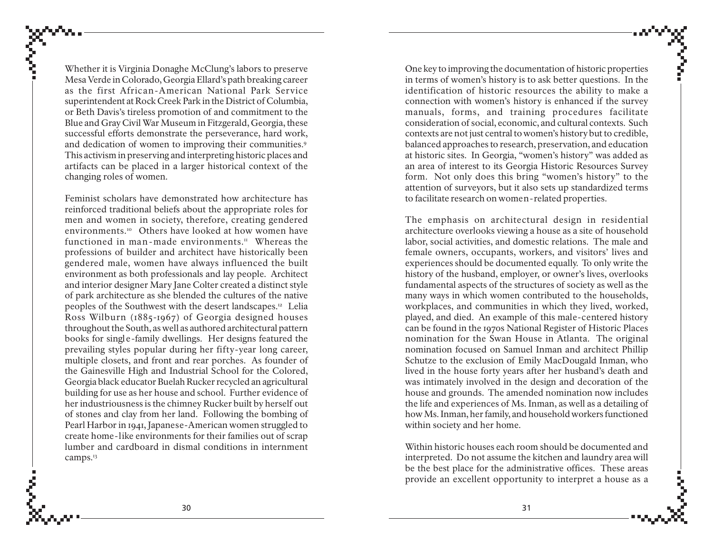Whether it is Virginia Donaghe McClung's labors to preserve Mesa Verde in Colorado, Georgia Ellard's path breaking career as the first African-American National Park Service superintendent at Rock Creek Park in the District of Columbia, or Beth Davis's tireless promotion of and commitment to the Blue and Gray Civil War Museum in Fitzgerald, Georgia, these successful efforts demonstrate the perseverance, hard work, and dedication of women to improving their communities.<sup>9</sup> This activism in preserving and interpreting historic places and artifacts can be placed in a larger historical context of the changing roles of women.

Feminist scholars have demonstrated how architecture has reinforced traditional beliefs about the appropriate roles for men and women in society, therefore, creating gendered environments.10 Others have looked at how women have functioned in man-made environments. $I<sup>H</sup>$  Whereas the professions of builder and architect have historically been gendered male, women have always influenced the built environment as both professionals and lay people. Architect and interior designer Mary Jane Colter created a distinct style of park architecture as she blended the cultures of the native peoples of the Southwest with the desert landscapes.12 Lelia Ross Wilburn (1885-1967) of Georgia designed houses throughout the South, as well as authored architectural pattern books for single-family dwellings. Her designs featured the prevailing styles popular during her fifty-year long career, multiple closets, and front and rear porches. As founder of the Gainesville High and Industrial School for the Colored, Georgia black educator Buelah Rucker recycled an agricultural building for use as her house and school. Further evidence of her industriousness is the chimney Rucker built by herself out of stones and clay from her land. Following the bombing of Pearl Harbor in 1941, Japanese-American women struggled to create home-like environments for their families out of scrap lumber and cardboard in dismal conditions in internment camps.<sup>13</sup>

One key to improving the documentation of historic properties in terms of women's history is to ask better questions. In the identification of historic resources the ability to make a connection with women's history is enhanced if the survey manuals, forms, and training procedures facilitate consideration of social, economic, and cultural contexts. Such contexts are not just central to women's history but to credible, balanced approaches to research, preservation, and education at historic sites. In Georgia, "women's history" was added as an area of interest to its Georgia Historic Resources Survey form. Not only does this bring "women's history" to the attention of surveyors, but it also sets up standardized terms to facilitate research on women-related properties.

The emphasis on architectural design in residential architecture overlooks viewing a house as a site of household labor, social activities, and domestic relations. The male and female owners, occupants, workers, and visitors' lives and experiences should be documented equally. To only write the history of the husband, employer, or owner's lives, overlooks fundamental aspects of the structures of society as well as the many ways in which women contributed to the households, workplaces, and communities in which they lived, worked, played, and died. An example of this male-centered history can be found in the 1970s National Register of Historic Places nomination for the Swan House in Atlanta. The original nomination focused on Samuel Inman and architect Phillip Schutze to the exclusion of Emily MacDougald Inman, who lived in the house forty years after her husband's death and was intimately involved in the design and decoration of the house and grounds. The amended nomination now includes the life and experiences of Ms. Inman, as well as a detailing of how Ms. Inman, her family, and household workers functioned within society and her home.

Within historic houses each room should be documented and interpreted. Do not assume the kitchen and laundry area will be the best place for the administrative offices. These areas provide an excellent opportunity to interpret a house as a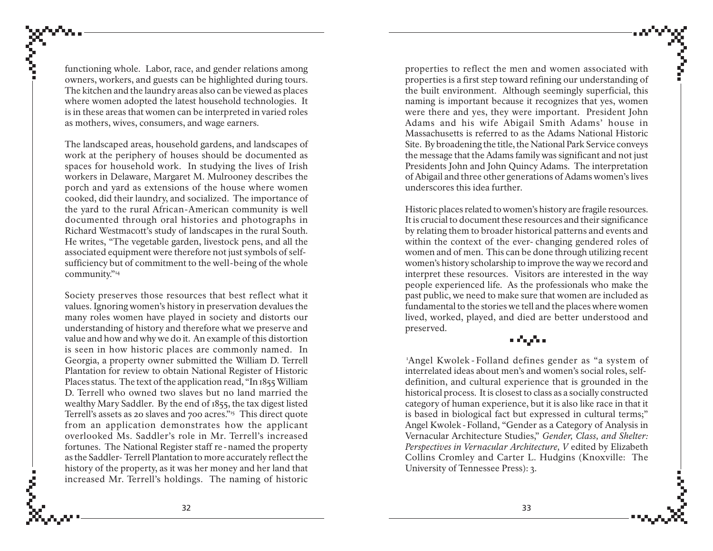functioning whole. Labor, race, and gender relations among owners, workers, and guests can be highlighted during tours. The kitchen and the laundry areas also can be viewed as places where women adopted the latest household technologies. It is in these areas that women can be interpreted in varied roles as mothers, wives, consumers, and wage earners.

The landscaped areas, household gardens, and landscapes of work at the periphery of houses should be documented as spaces for household work. In studying the lives of Irish workers in Delaware, Margaret M. Mulrooney describes the porch and yard as extensions of the house where women cooked, did their laundry, and socialized. The importance of the yard to the rural African-American community is well documented through oral histories and photographs in Richard Westmacott's study of landscapes in the rural South. He writes, "The vegetable garden, livestock pens, and all the associated equipment were therefore not just symbols of selfsufficiency but of commitment to the well-being of the whole community."14

Society preserves those resources that best reflect what it values. Ignoring women's history in preservation devalues the many roles women have played in society and distorts our understanding of history and therefore what we preserve and value and how and why we do it. An example of this distortion is seen in how historic places are commonly named. In Georgia, a property owner submitted the William D. Terrell Plantation for review to obtain National Register of Historic Places status. The text of the application read, "In 1855 William D. Terrell who owned two slaves but no land married the wealthy Mary Saddler. By the end of 1855, the tax digest listed Terrell's assets as 20 slaves and 700 acres."15 This direct quote from an application demonstrates how the applicant overlooked Ms. Saddler's role in Mr. Terrell's increased fortunes. The National Register staff re - named the property as the Saddler- Terrell Plantation to more accurately reflect the history of the property, as it was her money and her land that increased Mr. Terrell's holdings. The naming of historic

properties to reflect the men and women associated with properties is a first step toward refining our understanding of the built environment. Although seemingly superficial, this naming is important because it recognizes that yes, women were there and yes, they were important. President John Adams and his wife Abigail Smith Adams' house in Massachusetts is referred to as the Adams National Historic Site. By broadening the title, the National Park Service conveys the message that the Adams family was significant and not just Presidents John and John Quincy Adams. The interpretation of Abigail and three other generations of Adams women's lives underscores this idea further.

Historic places related to women's history are fragile resources. It is crucial to document these resources and their significance by relating them to broader historical patterns and events and within the context of the ever- changing gendered roles of women and of men. This can be done through utilizing recent women's history scholarship to improve the way we record and interpret these resources. Visitors are interested in the way people experienced life. As the professionals who make the past public, we need to make sure that women are included as fundamental to the stories we tell and the places where women lived, worked, played, and died are better understood and preserved.

#### a dagaan

1Angel Kwolek - Folland defines gender as "a system of interrelated ideas about men's and women's social roles, selfdefinition, and cultural experience that is grounded in the historical process. It is closest to class as a socially constructed category of human experience, but it is also like race in that it is based in biological fact but expressed in cultural terms;" Angel Kwolek - Folland, "Gender as a Category of Analysis in Vernacular Architecture Studies," *Gender, Class, and Shelter: Perspectives in Vernacular Architecture, V* edited by Elizabeth Collins Cromley and Carter L. Hudgins (Knoxville: The University of Tennessee Press): 3.

ĉ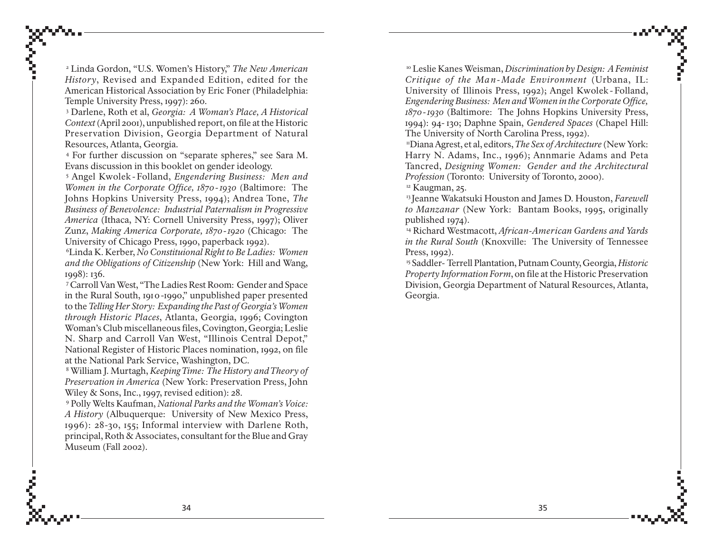2 Linda Gordon, "U.S. Women's History," *The New American History*, Revised and Expanded Edition, edited for the American Historical Association by Eric Foner (Philadelphia: Temple University Press, 1997): 260.

3 Darlene, Roth et al, *Georgia: A Woman's Place, A Historical Context* (April 2001), unpublished report, on file at the Historic Preservation Division, Georgia Department of Natural Resources, Atlanta, Georgia.

4 For further discussion on "separate spheres," see Sara M. Evans discussion in this booklet on gender ideology.

5 Angel Kwolek - Folland, *Engendering Business: Men and Women in the Corporate Office, 1870* - 1930 (Baltimore: The Johns Hopkins University Press, 1994); Andrea Tone, *The Business of Benevolence: Industrial Paternalism in Progressive America* (Ithaca, NY: Cornell University Press, 1997); Oliver Zunz, *Making America Corporate, 1870 - 1920* (Chicago: The University of Chicago Press, 1990, paperback 1992).

6Linda K. Kerber, *No Constituional Right to Be Ladies: Women and the Obligations of Citizenship* (New York: Hill and Wang, 1998): 136.

7 Carroll Van West, "The Ladies Rest Room: Gender and Space in the Rural South, 1910-1990," unpublished paper presented to the *Telling Her Story: Expanding the Past of Georgia's Women through Historic Places*, Atlanta, Georgia, 1996; Covington Woman's Club miscellaneous files, Covington, Georgia; Leslie N. Sharp and Carroll Van West, "Illinois Central Depot," National Register of Historic Places nomination, 1992, on file at the National Park Service, Washington, DC.

8 William J. Murtagh, *Keeping Time: The History and Theory of Preservation in America* (New York: Preservation Press, John Wiley & Sons, Inc., 1997, revised edition): 28.

9 Polly Welts Kaufman, *National Parks and the Woman's Voice: A History* (Albuquerque: University of New Mexico Press, 1996): 28-30, 155; Informal interview with Darlene Roth, principal, Roth & Associates, consultant for the Blue and Gray Museum (Fall 2002).

10 Leslie Kanes Weisman, *Discrimination by Design: A Feminist Critique of the Man-Made Environment* (Urbana, IL: University of Illinois Press, 1992); Angel Kwolek - Folland, *Engendering Business: Men and Women in the Corporate Office, 1870 - 1930* (Baltimore: The Johns Hopkins University Press, 1994): 94- 130; Daphne Spain, *Gendered Spaces* (Chapel Hill: The University of North Carolina Press, 1992).

11Diana Agrest, et al, editors, *The Sex of Architecture* (New York: Harry N. Adams, Inc., 1996); Annmarie Adams and Peta Tancred, *Designing Women: Gender and the Architectural Profession* (Toronto: University of Toronto, 2000).

<sup>12</sup> Kaugman, 25.

13 Jeanne Wakatsuki Houston and James D. Houston, *Farewell to Manzanar* (New York: Bantam Books, 1995, originally published 1974).

14 Richard Westmacott, *African-American Gardens and Yards in the Rural South* (Knoxville: The University of Tennessee Press, 1992).

15 Saddler- Terrell Plantation, Putnam County, Georgia, *Historic Property Information Form*, on file at the Historic Preservation Division, Georgia Department of Natural Resources, Atlanta, Georgia.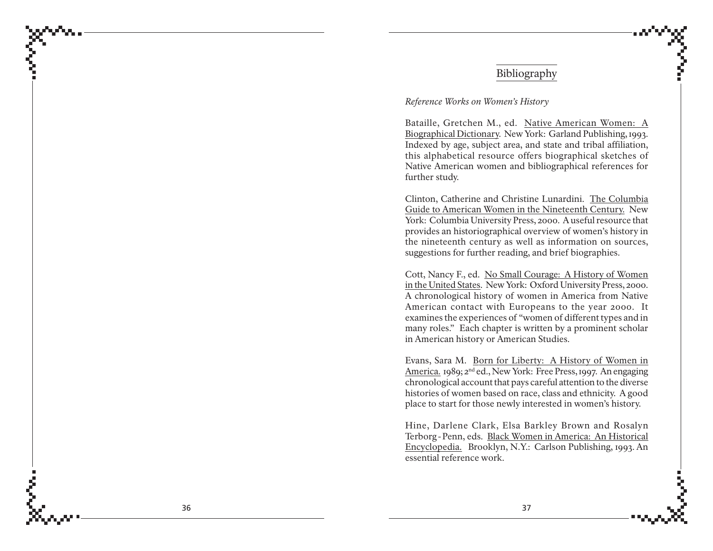### Bibliography

#### *Reference Works on Women's History*

Bataille, Gretchen M., ed. <u>Native American Women: A</u> Biographical Dicti o nary. New York: Garland Publishing, 1993. Indexed by age, subject area, and state and tribal affiliation, this alphabetical resource offers biographical sketches of Native American women and bibliographical references for further study.

Clinton, Catherine and Christine Lunardini. T he Columbia Gui de to American Wo men in t he Nineteenth Centur y. New York: Columbia University Press, 2000. A useful resource that provides an historiographical overview of women's history in the nineteenth century as well as information on sources, suggestions for further reading, and brief biographies.

Cott, Nancy F., ed. <u>No Small Courage: A History of Women</u> in t he United States. New York: Oxford University Press, 2000. A chronological history of women in America from Native American contact with Europeans to the year 2000. It examines the experiences of "women of different types and in many roles." Each chapter is written by a prominent scholar in American history or American Studies.

Evans, Sara M. Born for Liberty: A History of Women in America. 1989; 2<sup>nd</sup> ed., New York: Free Press, 1997. An engaging chronological account that pays careful attention to the diverse histories of women based on race, class and ethnicity. A good place to start for those newly interested in women's history.

Hine, Darlene Clark, Elsa Barkley Brown and Rosalyn Terborg-Penn, eds. <u>Black Women in America: An Historical</u> Encyclopedia. Brooklyn, N.Y.: Carlson Publishing, 1993. An essential reference work.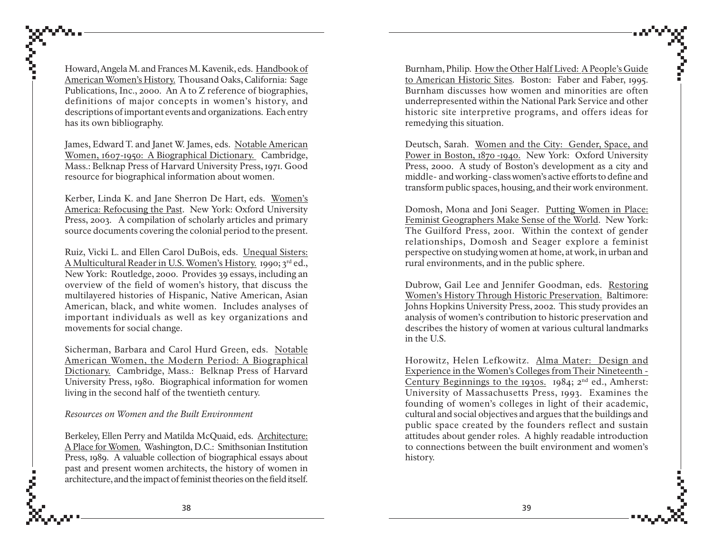Howard, Angela M. and Frances M. Kavenik, eds. Handbook of American Women's History. Thousand Oaks, California: Sage Publications, Inc., 2000. An A to Z reference of biographies, definitions of major concepts in women's history, and descriptions of important events and organizations. Each entry has its own bibliography.

James, Edward T. and Janet W. James, eds. Notable American Women, 1607-1950: A Biographical Dictionary. Cambridge, Mass.: Belknap Press of Harvard University Press, 1971. Good resource for biographical information about women.

Kerber, Linda K. and Jane Sherron De Hart, eds. Women's America: Refocusing the Past. New York: Oxford University Press, 2003. A compilation of scholarly articles and primary source documents covering the colonial period to the present.

Ruiz, Vicki L. and Ellen Carol DuBois, eds. Unequal Sisters: A Multicultural Reader in U.S. Women's History. 1990; 3rd ed., New York: Routledge, 2000. Provides 39 essays, including an overview of the field of women's history, that discuss the multilayered histories of Hispanic, Native American, Asian American, black, and white women. Includes analyses of important individuals as well as key organizations and movements for social change.

Sicherman, Barbara and Carol Hurd Green, eds. Notable American Women, the Modern Period: A Biographical Dictionary. Cambridge, Mass.: Belknap Press of Harvard University Press, 1980. Biographical information for women living in the second half of the twentieth century.

*Resources on Women and the Built Environment*

έ

Berkeley, Ellen Perry and Matilda McQuaid, eds. Architecture: A Place for Women. Washington, D.C.: Smithsonian Institution Press, 1989. A valuable collection of biographical essays about past and present women architects, the history of women in architecture, and the impact of feminist theories on the field itself.

Burnham, Philip. How the Other Half Lived: A People's Guide to American Historic Sites. Boston: Faber and Faber, 1995. Burnham discusses how women and minorities are often underrepresented within the National Park Service and other historic site interpretive programs, and offers ideas for remedying this situation.

Deutsch, Sarah. Women and the City: Gender, Space, and Power in Boston, 1870 -1940. New York: Oxford University Press, 2000. A study of Boston's development as a city and middle- and working-class women's active efforts to define and transform public spaces, housing, and their work environment.

Domosh, Mona and Joni Seager. Putting Women in Place: Feminist Geographers Make Sense of the World. New York: The Guilford Press, 2001. Within the context of gender relationships, Domosh and Seager explore a feminist perspective on studying women at home, at work, in urban and rural environments, and in the public sphere.

Dubrow, Gail Lee and Jennifer Goodman, eds. Restoring Women's History Through Historic Preservation. Baltimore: Johns Hopkins University Press, 2002. This study provides an analysis of women's contribution to historic preservation and describes the history of women at various cultural landmarks in the U.S.

Horowitz, Helen Lefkowitz. Alma Mater: Design and Experience in the Women's Colleges from Their Nineteenth - Century Beginnings to the 1930s. 1984;  $2^{nd}$  ed., Amherst: University of Massachusetts Press, 1993. Examines the founding of women's colleges in light of their academic, cultural and social objectives and argues that the buildings and public space created by the founders reflect and sustain attitudes about gender roles. A highly readable introduction to connections between the built environment and women's history.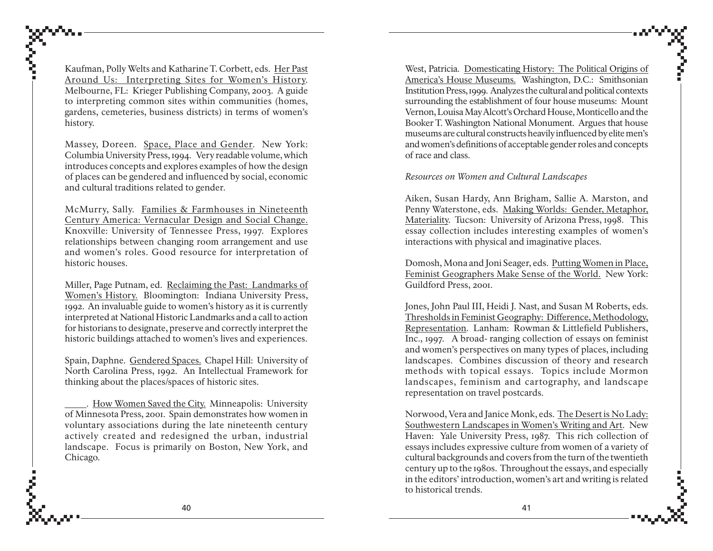Kaufman, Polly Welts and Katharine T. Corbett, eds. <u>Her Past</u> Ar ound Us: I nterpreting Sites f or W o men's History. Melbourne, FL: Krieger Publishing Company, 2003. A guide to interpreting common sites within communities (homes, gardens, cemeteries, business districts) in terms of women's history.

Massey, Doreen. <u>Space, Place and Gender</u>. New York: Columbia University Press, 1994. Very readable volume, which introduces concepts and explores examples of how the design of places can be gendered and influenced by social, economic and cultural traditions related to gender.

McMurry, Sally. <u>Families & Farmhouses in Nineteenth</u> Centur y America: Vernacular Design and Social Chan ge. Knoxville: University of Tennessee Press, 1997. Explores relationships between changing room arrangement and use and women's roles. Good resource for interpretation of historic houses.

Miller, Page Putnam, ed. <u>Reclaiming the Past: Landmarks of</u> Wo men's History. Bloomington: Indiana University Press, 1992. An invaluable guide to women's history as it is currently interpreted at National Historic Landmarks and a call to action for historians to designate, preserve and correctly interpret the historic buildings attached to women's lives and experiences.

Spain, Daphne. <u>Gendered Spaces.</u> Chapel Hill: University of North Carolina Press, 1992. An Intellectual Framework for thinking about the places/spaces of historic sites.

 . H ow Wo men Sa ved t he City. Minneapolis: University of Minnesota Press, 2001. Spain demonstrates how women in voluntary associations during the late nineteenth century actively created and redesigned the urban, industrial landscape. Focus is primarily on Boston, New York, and Chicago.

West, Patricia. Domesticating History: The Political Origins of America's H ouse Museums. Washington, D.C.: Smithsonian Institution Press, 1999. Analyzes the cultural and political contexts surrounding the establishment of four house museums: Mount Vernon, Louisa May Alcott's Orchard House, Monticello and the Booker T. Washington National Monument. Argues that house museums are cultural constructs heavily influenced by elite men's and women's definitions of acceptable gender roles and concepts of race and class.

*Resources on Women and Cultural Landscapes*

Aiken, Susan Hardy, Ann Brigham, Sallie A. Marston, and Penny Waterstone, eds. <u>Making Worlds: Gender, Metaphor,</u> Materiality. Tucson: University of Arizona Press, 1998. This essay collection includes interesting examples of women's interactions with physical and imaginative places.

Domosh, Mona and Joni Seager, eds. <u>Putting Women in Place,</u> Feminist Geograp hers Make Sense of t he World. New York: Guildford Press, 2001.

Jones, John Paul III, Heidi J. Nast, and Susan M Roberts, eds. Thresholds in Feminist Geograp hy: Difference, Method ology, Representati on. Lanham: Rowman & Littlefield Publishers, Inc., 1997. A broad- ranging collection of essays on feminist and women's perspectives on many types of places, including landscapes. Combines discussion of theory and research methods with topical essays. Topics include Mormon landscapes, feminism and cartography, and landscape representation on travel postcards.

Norwood, Vera and Janice Monk, eds. <u>The Desert is No Lady</u>: So uthwestern Landscapes in Wo men's Writing and Art*.* New Haven: Yale University Press, 1987. This rich collection of essays includes expressive culture from women of a variety of cultural backgrounds and covers from the turn of the twentieth century up to the 1980s. Throughout the essays, and especially in the editors' introduction, women's art and writing is related to historical trends.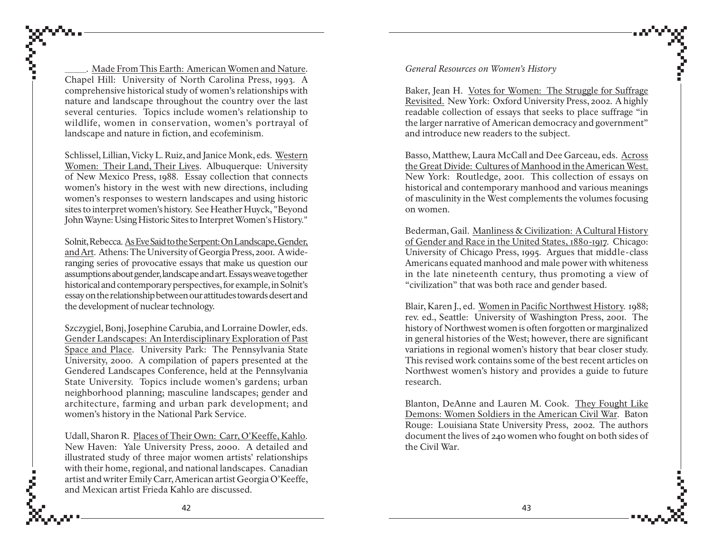*\_\_\_\_\_.* Made From This Earth: American Women and Nature. Chapel Hill: University of North Carolina Press, 1993. A comprehensive historical study of women's relationships with nature and landscape throughout the country over the last several centuries. Topics include women's relationship to wildlife, women in conservation, women's portrayal of landscape and nature in fiction, and ecofeminism.

Schlissel, Lillian, Vicky L. Ruiz, and Janice Monk, eds. Western Women: Their Land, Their Lives. Albuquerque: University of New Mexico Press, 1988. Essay collection that connects women's history in the west with new directions, including women's responses to western landscapes and using historic sites to interpret women's history. See Heather Huyck, "Beyond John Wayne: Using Historic Sites to Interpret Women's History."

Solnit, Rebecca. As Eve Said to the Serpent: On Landscape, Gender, and Art. Athens: The University of Georgia Press, 2001. A wideranging series of provocative essays that make us question our assumptions about gender, landscape and art. Essays weave together historical and contemporary perspectives, for example, in Solnit's essay on the relationship between our attitudes towards desert and the development of nuclear technology.

Szczygiel, Bonj, Josephine Carubia, and Lorraine Dowler, eds. Gender Landscapes: An Interdisciplinary Exploration of Past Space and Place. University Park: The Pennsylvania State University, 2000. A compilation of papers presented at the Gendered Landscapes Conference, held at the Pennsylvania State University. Topics include women's gardens; urban neighborhood planning; masculine landscapes; gender and architecture, farming and urban park development; and women's history in the National Park Service.

Udall, Sharon R. Places of Their Own: Carr, O'Keeffe, Kahlo*.* New Haven: Yale University Press, 2000. A detailed and illustrated study of three major women artists' relationships with their home, regional, and national landscapes. Canadian artist and writer Emily Carr, American artist Georgia O'Keeffe, and Mexican artist Frieda Kahlo are discussed.

*General Resources on Women's History*

Baker, Jean H. Votes for Women: The Struggle for Suffrage Revisited. New York: Oxford University Press, 2002. A highly readable collection of essays that seeks to place suffrage "in the larger narrative of American democracy and government" and introduce new readers to the subject.

Basso, Matthew, Laura McCall and Dee Garceau, eds. Across the Great Divide: Cultures of Manhood in the American West. New York: Routledge, 2001. This collection of essays on historical and contemporary manhood and various meanings of masculinity in the West complements the volumes focusing on women.

Bederman, Gail. Manliness & Civilization: A Cultural History of Gender and Race in the United States, 1880-1917. Chicago: University of Chicago Press, 1995. Argues that middle-class Americans equated manhood and male power with whiteness in the late nineteenth century, thus promoting a view of "civilization" that was both race and gender based.

Blair, Karen J., ed. Women in Pacific Northwest History. 1988; rev. ed., Seattle: University of Washington Press, 2001. The history of Northwest women is often forgotten or marginalized in general histories of the West; however, there are significant variations in regional women's history that bear closer study. This revised work contains some of the best recent articles on Northwest women's history and provides a guide to future research.

Blanton, DeAnne and Lauren M. Cook. They Fought Like Demons: Women Soldiers in the American Civil War. Baton Rouge: Louisiana State University Press, 2002. The authors document the lives of 240 women who fought on both sides of the Civil War.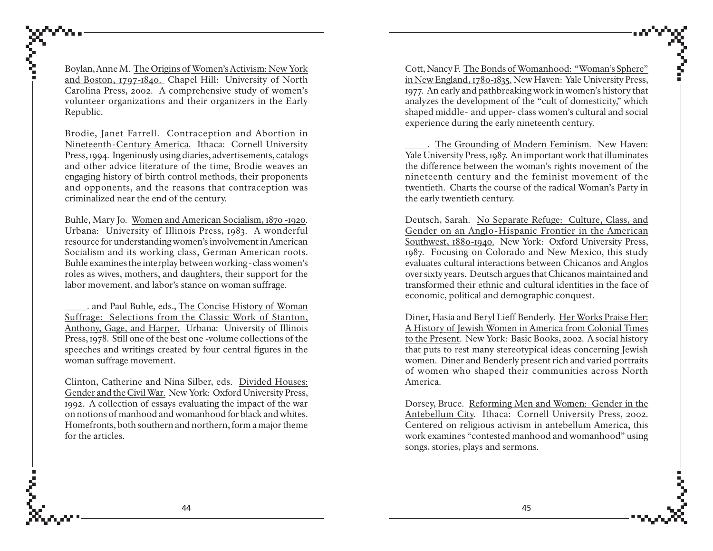Boylan, Anne M. The Origins of Women's Activism: New York and Boston, 1797-1840. Chapel Hill: University of North Carolina Press, 2002. A comprehensive study of women's volunteer organizations and their organizers in the Early Republic.

Brodie, Janet Farrell. Contraception and Abortion in Nineteenth-Century America. Ithaca: Cornell University Press, 1994. Ingeniously using diaries, advertisements, catalogs and other advice literature of the time, Brodie weaves an engaging history of birth control methods, their proponents and opponents, and the reasons that contraception was criminalized near the end of the century.

Buhle, Mary Jo. Women and American Socialism, 1870 -1920. Urbana: University of Illinois Press, 1983. A wonderful resource for understanding women's involvement in American Socialism and its working class, German American roots. Buhle examines the interplay between working-class women's roles as wives, mothers, and daughters, their support for the labor movement, and labor's stance on woman suffrage.

.. and Paul Buhle, eds., The Concise History of Woman Suffrage: Selections from the Classic Work of Stanton, Anthony, Gage, and Harper. Urbana: University of Illinois Press, 1978. Still one of the best one -volume collections of the speeches and writings created by four central figures in the woman suffrage movement.

Clinton, Catherine and Nina Silber, eds. Divided Houses: Gender and the Civil War. New York: Oxford University Press, 1992. A collection of essays evaluating the impact of the war on notions of manhood and womanhood for black and whites. Homefronts, both southern and northern, form a major theme for the articles.

Cott, Nancy F. The Bonds of Womanhood: "Woman's Sphere" in New England, 1780-1835. New Haven: Yale University Press, 1977. An early and pathbreaking work in women's history that analyzes the development of the "cult of domesticity," which shaped middle- and upper- class women's cultural and social experience during the early nineteenth century.

\_\_\_\_\_. The Grounding of Modern Feminism. New Haven: Yale University Press, 1987. An important work that illuminates the difference between the woman's rights movement of the nineteenth century and the feminist movement of the twentieth. Charts the course of the radical Woman's Party in the early twentieth century.

Deutsch, Sarah. No Separate Refuge: Culture, Class, and Gender on an Anglo-Hispanic Frontier in the American Southwest, 1880-1940. New York: Oxford University Press, 1987. Focusing on Colorado and New Mexico, this study evaluates cultural interactions between Chicanos and Anglos over sixty years. Deutsch argues that Chicanos maintained and transformed their ethnic and cultural identities in the face of economic, political and demographic conquest.

Diner, Hasia and Beryl Lieff Benderly. Her Works Praise Her: A History of Jewish Women in America from Colonial Times to the Present. New York: Basic Books, 2002. A social history that puts to rest many stereotypical ideas concerning Jewish women. Diner and Benderly present rich and varied portraits of women who shaped their communities across North America.

Dorsey, Bruce. Reforming Men and Women: Gender in the Antebellum City. Ithaca: Cornell University Press, 2002. Centered on religious activism in antebellum America, this work examines "contested manhood and womanhood" using songs, stories, plays and sermons.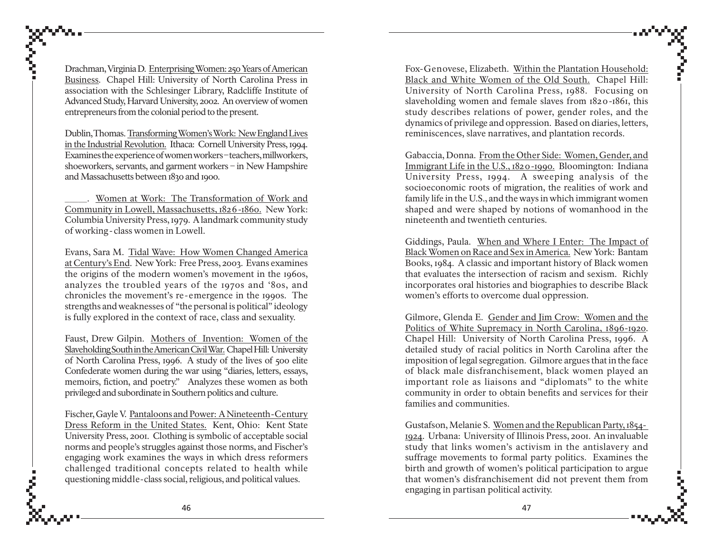Drachman, Virginia D. <u>Enterprising Women: 250 Years of American</u> Business. Chapel Hill: University of North Carolina Press in association with the Schlesinger Library, Radcliffe Institute of Advanced Study, Harvard University, 2002. An overview of women entrepreneurs from the colonial period to the present.

Dublin, Thomas. Transforming Wo men's Work: New England Lives in the I n dustrial Revoluti on. Ithaca: Cornell University Press, 1994. Examines the experience of women workers – teachers, millworkers, shoeworkers, servants, and garment workers – in New Hampshire and Massachusetts between 1830 and 1900.

\_\_\_\_\_. Wo men at Work: T he Transformati on of Work an d Community in Lo well, Massac husetts, 1826-1860. New York: Columbia University Press, 1979. A landmark community study of working-class women in Lowell.

Evans, Sara M. <u>Tidal Wave: How Women Changed America</u> at Century's End. New York: Free Press, 2003. Evans examines the origins of the modern women's movement in the 1960s, analyzes the troubled years of the 1970s and '80s, and chronicles the movement's re-emergence in the 1990s. The strengths and weaknesses of "the personal is political" ideology is fully explored in the context of race, class and sexuality.

Faust, Drew Gilpin. Mothers of Invention: Women of the Slaveholding So uth in the American Civil War. Chapel Hill: University of North Carolina Press, 1996. A study of the lives of 500 elite Confederate women during the war using "diaries, letters, essays, memoirs, fiction, and poetry." Analyzes these women as both privileged and subordinate in Southern politics and culture.

Fischer, Gayle V. <u>Pantaloons and Power: A Nineteenth-Centur</u>y Dress Reform in t he United States. Kent, Ohio: Kent State University Press, 2001. Clothing is symbolic of acceptable social norms and people's struggles against those norms, and Fischer's engaging work examines the ways in which dress reformers challenged traditional concepts related to health while questioning middle-class social, religious, and political values.

Fox-Genovese, Elizabeth. <u>Within the Plantation Household:</u> <u>Black and White Women of the Old South.</u> Chapel Hill: University of North Carolina Press, 1988. Focusing on slaveholding women and female slaves from 1820-1861, this study describes relations of power, gender roles, and the dynamics of privilege and oppression. Based on diaries, letters, reminiscences, slave narratives, and plantation records.

Gabaccia, Donna. From t he Ot her Si de: Wo men, Gen der, an d Immigrant Life in t he U.S., 1820-1990. Bloomington: Indiana University Press, 1994. A sweeping analysis of the socioeconomic roots of migration, the realities of work and family life in the U.S., and the ways in which immigrant women shaped and were shaped by notions of womanhood in the nineteenth and twentieth centuries.

Giddings, Paula. <u>When and Where I Enter: The Impact of</u> Black Wo men on Race and Sex in America. New York: Bantam Books, 1984. A classic and important history of Black women that evaluates the intersection of racism and sexism. Richly incorporates oral histories and biographies to describe Black women's efforts to overcome dual oppression.

Gilmore, Glenda E. <u>Gender and Jim Crow: Women and the</u> Politics of White Supremacy in North Carolina, 1896-1920. Chapel Hill: University of North Carolina Press, 1996. A detailed study of racial politics in North Carolina after the imposition of legal segregation. Gilmore argues that in the face of black male disfranchisement, black women played an important role as liaisons and "diplomats" to the white community in order to obtain benefits and services for their families and communities.

Gustafson, Melanie S. Wo men and t he Republican Party, 1854- 1924. Urbana: University of Illinois Press, 2001. An invaluable study that links women's activism in the antislavery and suffrage movements to formal party politics. Examines the birth and growth of women's political participation to argue that women's disfranchisement did not prevent them from engaging in partisan political activity.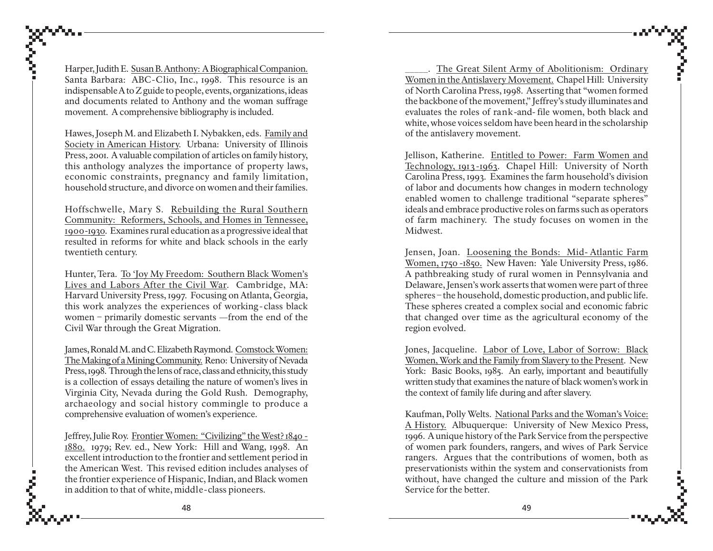Harper, Judith E. S<u>usan B. Anthony: A Biographical Companion.</u> Santa Barbara: ABC-Clio, Inc., 1998. This resource is an indispensable A to Z guide to people, events, organizations, ideas and documents related to Anthony and the woman suffrage movement. A comprehensive bibliography is included.

Hawes, Joseph M. and Elizabeth I. Nybakken, eds. <u>Family and</u> Society in American History. Urbana: University of Illinois Press, 2001. A valuable compilation of articles on family history, this anthology analyzes the importance of property laws, economic constraints, pregnancy and family limitation, household structure, and divorce on women and their families.

Hoffschwelle, Mary S. <u>Rebuilding the Rural Southern</u> Community: Reformers, Schools, and Homes in Tennessee, 1900-1930. Examines rural education as a progressive ideal that resulted in reforms for white and black schools in the early twentieth century.

Hunter, Tera. <u>To 'Joy My Freedom: Southern Black Women's</u> Li ves and Labors After t he Civil War. Cambridge, MA: Harvard University Press, 1997. Focusing on Atlanta, Georgia, this work analyzes the experiences of working - class black women – primarily domestic servants —from the end of the Civil War through the Great Migration.

James, Ronald M. and C. Elizabeth Raymond. <u>Comstock Women:</u> T he Making of a Mining Community. Reno: University of Nevada Press, 1998. Through the lens of race, class and ethnicity, this study is a collection of essays detailing the nature of women's lives in Virginia City, Nevada during the Gold Rush. Demography, archaeology and social history commingle to produce a comprehensive evaluation of women's experience.

Jeffrey, Julie Roy. <u>Frontier Women: "Civilizing" the West? 1840 -</u> 1880. 1979; Rev. ed., New York: Hill and Wang, 1998. An excellent introduction to the frontier and settlement period in the American West. This revised edition includes analyses of the frontier experience of Hispanic, Indian, and Black women in addition to that of white, middle-class pioneers.

\_\_\_\_\_\_ T he Great Silent Arm y of Aboliti onism: Ordinar y <u>Women in the Antislavery Movement.</u> Chapel Hill: University of North Carolina Press, 1998. Asserting that "women formed the backbone of the movement," Jeffrey's study illuminates and evaluates the roles of rank-and- file women, both black and white, whose voices seldom have been heard in the scholarship of the antislavery movement.

Jellison, Katherine. <u>Entitled to Power: Farm Women and</u> Technology, 1913-1963. Chapel Hill: University of North Carolina Press, 1993. Examines the farm household's division of labor and documents how changes in modern technology enabled women to challenge traditional "separate spheres" ideals and embrace productive roles on farms such as operators of farm machinery. The study focuses on women in the Midwest.

Jensen, Joan. <u>Loosening the Bonds: Mid- Atlantic Farm</u> Wo men, 1750 -1850. New Haven: Yale University Press, 1986. A pathbreaking study of rural women in Pennsylvania and Delaware, Jensen's work asserts that women were part of three spheres – the household, domestic production, and public life. These spheres created a complex social and economic fabric that changed over time as the agricultural economy of the region evolved.

Jones, Jacqueline. <u>Labor of Love, Labor of Sorrow: Black</u> Wo men, Work and t he Family fr om Slaver y to t he Present. New York: Basic Books, 1985. An early, important and beautifully written study that examines the nature of black women's work in the context of family life during and after slavery.

Kaufman, Polly Welts. <u>National Parks and the Woman's Voice:</u> A History. Albuquerque: University of New Mexico Press, 1996. A unique history of the Park Service from the perspective of women park founders, rangers, and wives of Park Service rangers. Argues that the contributions of women, both as preservationists within the system and conservationists from without, have changed the culture and mission of the Park Service for the better.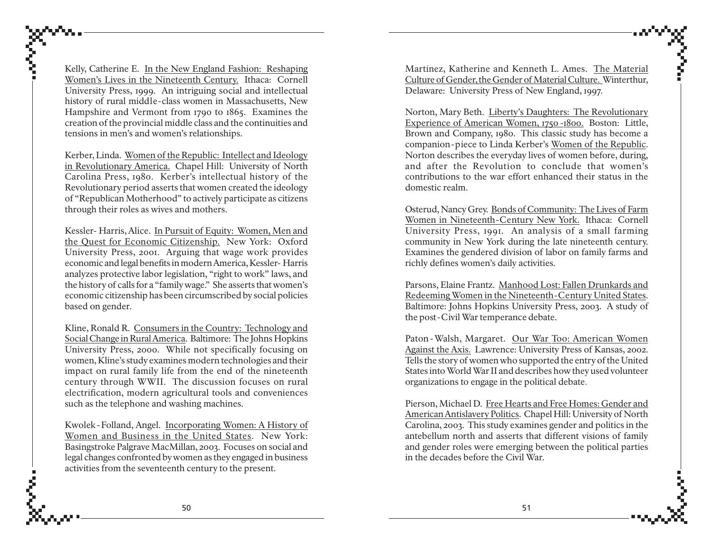Kelly, Catherine E. In the New England Fashion: Reshaping Women's Lives in the Nineteenth Century. Ithaca: Cornell University Press, 1999. An intriguing social and intellectual history of rural middle-class women in Massachusetts, New Hampshire and Vermont from 1790 to 1865. Examines the creation of the provincial middle class and the continuities and tensions in men's and women's relationships.

Kerber, Linda. Women of the Republic: Intellect and Ideology in Revolutionary America. Chapel Hill: University of North Carolina Press, 1980. Kerber's intellectual history of the Revolutionary period asserts that women created the ideology of "Republican Motherhood" to actively participate as citizens through their roles as wives and mothers.

Kessler- Harris, Alice. In Pursuit of Equity: Women, Men and the Quest for Economic Citizenship. New York: Oxford University Press, 2001. Arguing that wage work provides economic and legal benefits in modern America, Kessler- Harris analyzes protective labor legislation, "right to work" laws, and the history of calls for a "family wage." She asserts that women's economic citizenship has been circumscribed by social policies based on gender.

Kline, Ronald R. Consumers in the Country: Technology and Social Change in Rural America. Baltimore: The Johns Hopkins University Press, 2000. While not specifically focusing on women, Kline's study examines modern technologies and their impact on rural family life from the end of the nineteenth century through WWII. The discussion focuses on rural electrification, modern agricultural tools and conveniences such as the telephone and washing machines.

Kwolek-Folland, Angel. Incorporating Women: A History of Women and Business in the United States. New York: Basingstroke Palgrave MacMillan, 2003. Focuses on social and legal changes confronted by women as they engaged in business activities from the seventeenth century to the present.

Martinez, Katherine and Kenneth L. Ames. The Material Culture of Gender, the Gender of Material Culture. Winterthur, Delaware: University Press of New England, 1997.

Norton, Mary Beth. Liberty's Daughters: The Revolutionary Experience of American Women, 1750 -1800. Boston: Little, Brown and Company, 1980. This classic study has become a companion-piece to Linda Kerber's Women of the Republic. Norton describes the everyday lives of women before, during, and after the Revolution to conclude that women's contributions to the war effort enhanced their status in the domestic realm.

Osterud, Nancy Grey. Bonds of Community: The Lives of Farm Women in Nineteenth-Century New York. Ithaca: Cornell University Press, 1991. An analysis of a small farming community in New York during the late nineteenth century. Examines the gendered division of labor on family farms and richly defines women's daily activities.

Parsons, Elaine Frantz. Manhood Lost: Fallen Drunkards and Redeeming Women in the Nineteenth-Century United States. Baltimore: Johns Hopkins University Press, 2003. A study of the post-Civil War temperance debate.

Paton - Walsh, Margaret. Our War Too: American Women Against the Axis. Lawrence: University Press of Kansas, 2002. Tells the story of women who supported the entry of the United States into World War II and describes how they used volunteer organizations to engage in the political debate.

Pierson, Michael D. Free Hearts and Free Homes: Gender and American Antislavery Politics. Chapel Hill: University of North Carolina, 2003. This study examines gender and politics in the antebellum north and asserts that different visions of family and gender roles were emerging between the political parties in the decades before the Civil War.

å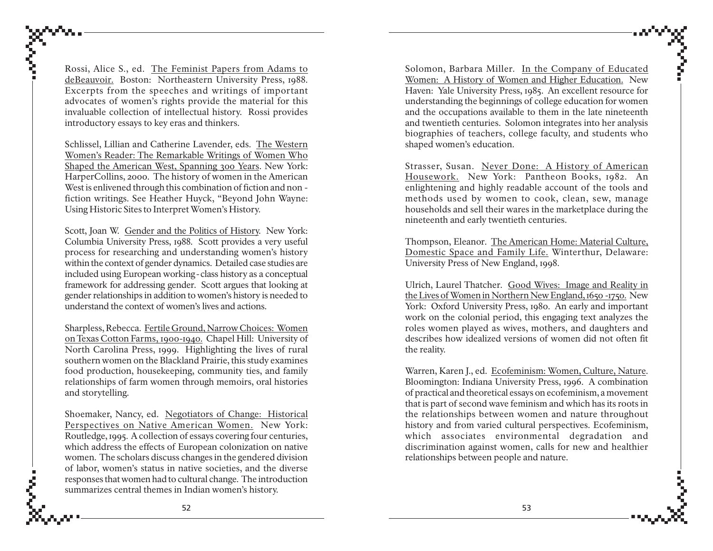Rossi, Alice S., ed. <u>The Feminist Papers from Adams to</u> deBeauvoir. Boston: Northeastern University Press, 1988. Excerpts from the speeches and writings of important advocates of women's rights provide the material for this invaluable collection of intellectual history. Rossi provides introductory essays to key eras and thinkers.

Schlissel, Lillian and Catherine Lavender, eds. T he Western Wo men's Reader: T he Remar kable Writin gs of Wo men Who Shaped t he American West, Spanning 300 Years. New York: HarperCollins, 2000. The history of women in the American West is enlivened through this combination of fiction and non fiction writings. See Heather Huyck, "Beyond John Wayne: Using Historic Sites to Interpret Women's History.

Scott, Joan W. Gender and the Politics of History. New York: Columbia University Press, 1988. Scott provides a very useful process for researching and understanding women's history within the context of gender dynamics. Detailed case studies are included using European working-class history as a conceptual framework for addressing gender. Scott argues that looking at gender relationships in addition to women's history is needed to understand the context of women's lives and actions.

Sharpless, Rebecca. <u>Fertile Ground, Narrow Choices: Women</u> on Texas Cotton Farms, 1900-1940. Chapel Hill: University of North Carolina Press, 1999. Highlighting the lives of rural southern women on the Blackland Prairie, this study examines food production, housekeeping, community ties, and family relationships of farm women through memoirs, oral histories and storytelling.

Shoemaker, Nancy, ed. <u>Negotiators of Change: Historical</u> Perspectives on Native American Women. New York: Routledge, 1995. A collection of essays covering four centuries, which address the effects of European colonization on native women. The scholars discuss changes in the gendered division of labor, women's status in native societies, and the diverse responses that women had to cultural change. The introduction summarizes central themes in Indian women's history.

Solomon, Barbara Miller. <u>In the Company of Educated</u> Women: A History of Women and Higher Education. New Haven: Yale University Press, 1985. An excellent resource for understanding the beginnings of college education for women and the occupations available to them in the late nineteenth and twentieth centuries. Solomon integrates into her analysis biographies of teachers, college faculty, and students who shaped women's education.

Strasser, Susan. <u>Never Done: A History of American</u> H ousew ork. New York: Pantheon Books, 1982. An enlightening and highly readable account of the tools and methods used by women to cook, clean, sew, manage households and sell their wares in the marketplace during the nineteenth and early twentieth centuries.

Thompson, Eleanor. <u>The American Home: Material Culture,</u> D o mestic Space and Family Life. Winterthur, Delaware: University Press of New England, 1998.

Ulrich, Laurel Thatcher. Good Wives: Image and Reality in the Li ves of Wo men in N orthern New En gland, 1650 -1750. New York: Oxford University Press, 1980. An early and important work on the colonial period, this engaging text analyzes the roles women played as wives, mothers, and daughters and describes how idealized versions of women did not often fit the reality.

Warren, Karen J., ed. <u>Ecofeminism: Women, Culture, Nature</u>. Bloomington: Indiana University Press, 1996. A combination of practical and theoretical essays on ecofeminism, a movement that is part of second wave feminism and which has its roots in the relationships between women and nature throughout history and from varied cultural perspectives. Ecofeminism, which associates environmental degradation and discrimination against women, calls for new and healthier relationships between people and nature.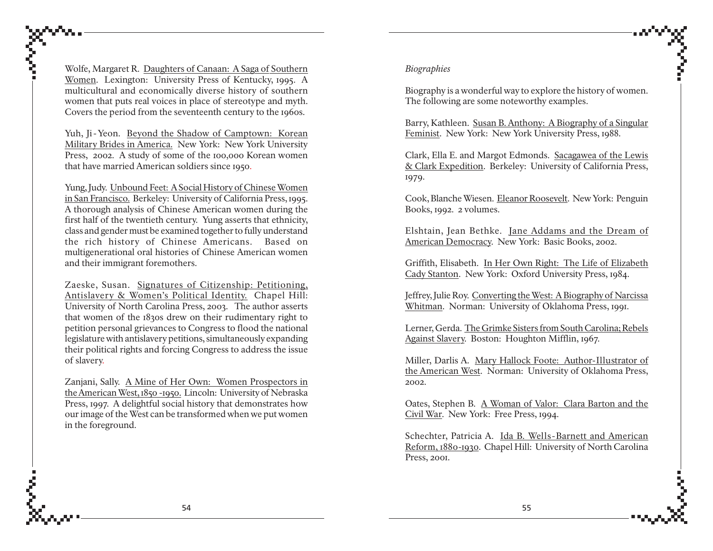Wolfe, Margaret R. Daughters of Canaan: A Saga of Southern Women. Lexington: University Press of Kentucky, 1995. A multicultural and economically diverse history of southern women that puts real voices in place of stereotype and myth. Covers the period from the seventeenth century to the 1960s.

Yuh, Ji-Yeon. Beyond the Shadow of Camptown: Korean Military Brides in America. New York: New York University Press, 2002. A study of some of the 100,000 Korean women that have married American soldiers since 1950.

Yung, Judy. Unbound Feet: A Social History of Chinese Women in San Francisco. Berkeley: University of California Press, 1995. A thorough analysis of Chinese American women during the first half of the twentieth century. Yung asserts that ethnicity, class and gender must be examined together to fully understand the rich history of Chinese Americans. Based on multigenerational oral histories of Chinese American women and their immigrant foremothers.

Zaeske, Susan. Signatures of Citizenship: Petitioning, Antislavery & Women's Political Identity. Chapel Hill: University of North Carolina Press, 2003. The author asserts that women of the 1830s drew on their rudimentary right to petition personal grievances to Congress to flood the national legislature with antislavery petitions, simultaneously expanding their political rights and forcing Congress to address the issue of slavery.

Zanjani, Sally. A Mine of Her Own: Women Prospectors in the American West, 1850 -1950. Lincoln: University of Nebraska Press, 1997. A delightful social history that demonstrates how our image of the West can be transformed when we put women in the foreground.

#### *Biographies*

Biography is a wonderful way to explore the history of women. The following are some noteworthy examples.

Barry, Kathleen. Susan B. Anthony: A Biography of a Singular Feminist. New York: New York University Press, 1988.

Clark, Ella E. and Margot Edmonds. Sacagawea of the Lewis & Clark Expedition. Berkeley: University of California Press, 1979.

Cook, Blanche Wiesen. Eleanor Roosevelt. New York: Penguin Books, 1992. 2 volumes.

Elshtain, Jean Bethke. Jane Addams and the Dream of American Democracy. New York: Basic Books, 2002.

Griffith, Elisabeth. In Her Own Right: The Life of Elizabeth Cady Stanton. New York: Oxford University Press, 1984.

Jeffrey, Julie Roy. Converting the West: A Biography of Narcissa Whitman. Norman: University of Oklahoma Press, 1991.

Lerner, Gerda. The Grimke Sisters from South Carolina; Rebels Against Slavery. Boston: Houghton Mifflin, 1967.

Miller, Darlis A. Mary Hallock Foote: Author-Illustrator of the American West. Norman: University of Oklahoma Press, 2002.

Oates, Stephen B. A Woman of Valor: Clara Barton and the Civil War. New York: Free Press, 1994.

Schechter, Patricia A. Ida B. Wells-Barnett and American Reform, 1880-1930. Chapel Hill: University of North Carolina Press, 2001.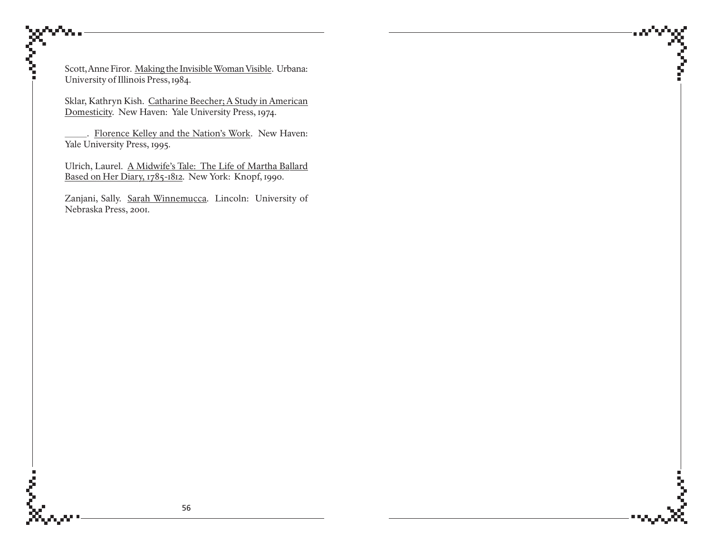Scott, Anne Firor. Making the Invisible Woman Visible. Urbana: University of Illinois Press, 1984.

Sklar, Kathryn Kish. Catharine Beecher; A Study in American Domesticity. New Haven: Yale University Press, 1974.

. Florence Kelley and the Nation's Work. New Haven: Yale University Press, 1995.

Ulrich, Laurel. A Midwife's Tale: The Life of Martha Ballard Based on Her Diary, 1785-1812. New York: Knopf, 1990.

Zanjani, Sally. Sarah Winnemucca. Lincoln: University of Nebraska Press, 2001.

Ź